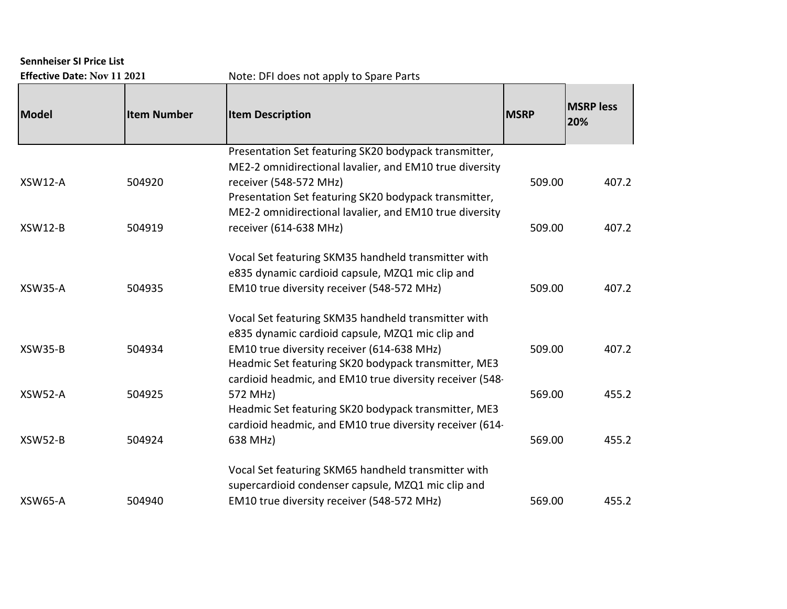## **Sennheiser SI Price List**

| <b>Effective Date: Nov 11 20</b> |  |  |  |
|----------------------------------|--|--|--|
|----------------------------------|--|--|--|

**Effective Date: DFI does not apply to Spare Parts** 

| Model          | <b>Item Number</b> | <b>Item Description</b>                                  | <b>MSRP</b> | <b>MSRP</b> less<br>20% |
|----------------|--------------------|----------------------------------------------------------|-------------|-------------------------|
|                |                    | Presentation Set featuring SK20 bodypack transmitter,    |             |                         |
|                |                    | ME2-2 omnidirectional lavalier, and EM10 true diversity  |             |                         |
| <b>XSW12-A</b> | 504920             | receiver (548-572 MHz)                                   | 509.00      | 407.2                   |
|                |                    | Presentation Set featuring SK20 bodypack transmitter,    |             |                         |
|                |                    | ME2-2 omnidirectional lavalier, and EM10 true diversity  |             |                         |
| <b>XSW12-B</b> | 504919             | receiver (614-638 MHz)                                   | 509.00      | 407.2                   |
|                |                    | Vocal Set featuring SKM35 handheld transmitter with      |             |                         |
|                |                    | e835 dynamic cardioid capsule, MZQ1 mic clip and         |             |                         |
| <b>XSW35-A</b> | 504935             | EM10 true diversity receiver (548-572 MHz)               | 509.00      | 407.2                   |
|                |                    | Vocal Set featuring SKM35 handheld transmitter with      |             |                         |
|                |                    | e835 dynamic cardioid capsule, MZQ1 mic clip and         |             |                         |
| <b>XSW35-B</b> | 504934             | EM10 true diversity receiver (614-638 MHz)               | 509.00      | 407.2                   |
|                |                    | Headmic Set featuring SK20 bodypack transmitter, ME3     |             |                         |
|                |                    | cardioid headmic, and EM10 true diversity receiver (548- |             |                         |
| XSW52-A        | 504925             | 572 MHz)                                                 | 569.00      | 455.2                   |
|                |                    | Headmic Set featuring SK20 bodypack transmitter, ME3     |             |                         |
|                |                    | cardioid headmic, and EM10 true diversity receiver (614- |             |                         |
| XSW52-B        | 504924             | 638 MHz)                                                 | 569.00      | 455.2                   |
|                |                    | Vocal Set featuring SKM65 handheld transmitter with      |             |                         |
|                |                    | supercardioid condenser capsule, MZQ1 mic clip and       |             |                         |
| <b>XSW65-A</b> | 504940             | EM10 true diversity receiver (548-572 MHz)               | 569.00      | 455.2                   |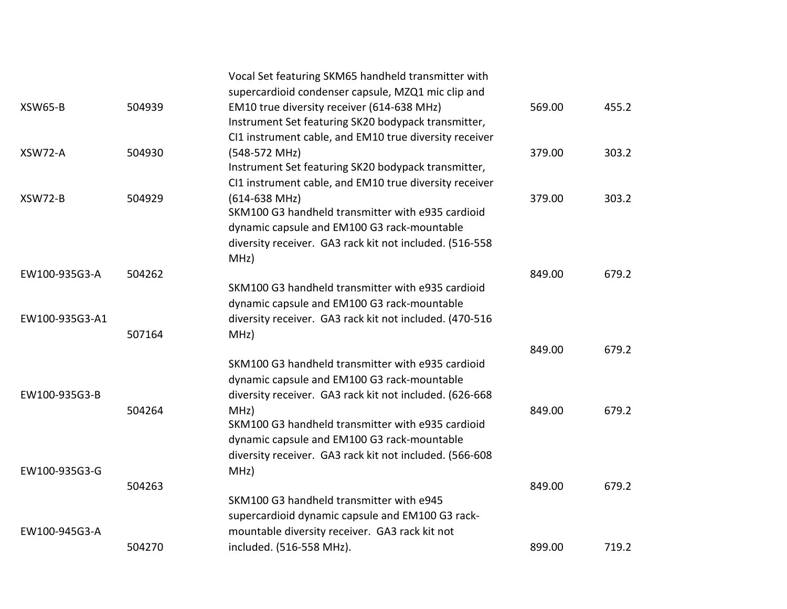|                |        | Vocal Set featuring SKM65 handheld transmitter with     |        |       |
|----------------|--------|---------------------------------------------------------|--------|-------|
|                |        | supercardioid condenser capsule, MZQ1 mic clip and      |        |       |
| <b>XSW65-B</b> | 504939 | EM10 true diversity receiver (614-638 MHz)              | 569.00 | 455.2 |
|                |        | Instrument Set featuring SK20 bodypack transmitter,     |        |       |
|                |        | CI1 instrument cable, and EM10 true diversity receiver  |        |       |
| XSW72-A        | 504930 | (548-572 MHz)                                           | 379.00 | 303.2 |
|                |        | Instrument Set featuring SK20 bodypack transmitter,     |        |       |
|                |        | CI1 instrument cable, and EM10 true diversity receiver  |        |       |
| XSW72-B        | 504929 | $(614 - 638$ MHz)                                       | 379.00 | 303.2 |
|                |        | SKM100 G3 handheld transmitter with e935 cardioid       |        |       |
|                |        | dynamic capsule and EM100 G3 rack-mountable             |        |       |
|                |        | diversity receiver. GA3 rack kit not included. (516-558 |        |       |
|                |        | MHz)                                                    |        |       |
| EW100-935G3-A  | 504262 |                                                         | 849.00 | 679.2 |
|                |        | SKM100 G3 handheld transmitter with e935 cardioid       |        |       |
|                |        | dynamic capsule and EM100 G3 rack-mountable             |        |       |
| EW100-935G3-A1 |        | diversity receiver. GA3 rack kit not included. (470-516 |        |       |
|                | 507164 | MHz)                                                    |        |       |
|                |        |                                                         | 849.00 | 679.2 |
|                |        | SKM100 G3 handheld transmitter with e935 cardioid       |        |       |
|                |        | dynamic capsule and EM100 G3 rack-mountable             |        |       |
| EW100-935G3-B  |        | diversity receiver. GA3 rack kit not included. (626-668 |        |       |
|                | 504264 | MHz)                                                    | 849.00 | 679.2 |
|                |        | SKM100 G3 handheld transmitter with e935 cardioid       |        |       |
|                |        | dynamic capsule and EM100 G3 rack-mountable             |        |       |
|                |        | diversity receiver. GA3 rack kit not included. (566-608 |        |       |
| EW100-935G3-G  |        | MHz)                                                    |        |       |
|                | 504263 |                                                         | 849.00 | 679.2 |
|                |        | SKM100 G3 handheld transmitter with e945                |        |       |
|                |        | supercardioid dynamic capsule and EM100 G3 rack-        |        |       |
| EW100-945G3-A  |        | mountable diversity receiver. GA3 rack kit not          |        |       |
|                | 504270 | included. (516-558 MHz).                                | 899.00 | 719.2 |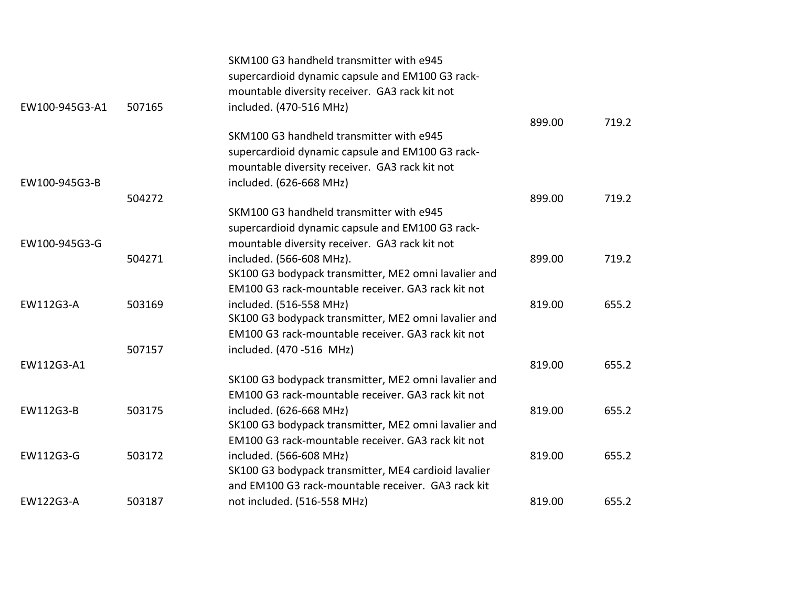|                |        | SKM100 G3 handheld transmitter with e945             |        |       |
|----------------|--------|------------------------------------------------------|--------|-------|
|                |        | supercardioid dynamic capsule and EM100 G3 rack-     |        |       |
|                |        | mountable diversity receiver. GA3 rack kit not       |        |       |
| EW100-945G3-A1 | 507165 | included. (470-516 MHz)                              |        |       |
|                |        |                                                      | 899.00 | 719.2 |
|                |        | SKM100 G3 handheld transmitter with e945             |        |       |
|                |        | supercardioid dynamic capsule and EM100 G3 rack-     |        |       |
|                |        | mountable diversity receiver. GA3 rack kit not       |        |       |
| EW100-945G3-B  |        | included. (626-668 MHz)                              |        |       |
|                | 504272 |                                                      | 899.00 | 719.2 |
|                |        | SKM100 G3 handheld transmitter with e945             |        |       |
|                |        | supercardioid dynamic capsule and EM100 G3 rack-     |        |       |
| EW100-945G3-G  |        | mountable diversity receiver. GA3 rack kit not       |        |       |
|                | 504271 | included. (566-608 MHz).                             | 899.00 | 719.2 |
|                |        | SK100 G3 bodypack transmitter, ME2 omni lavalier and |        |       |
|                |        | EM100 G3 rack-mountable receiver. GA3 rack kit not   |        |       |
| EW112G3-A      | 503169 | included. (516-558 MHz)                              | 819.00 | 655.2 |
|                |        | SK100 G3 bodypack transmitter, ME2 omni lavalier and |        |       |
|                |        | EM100 G3 rack-mountable receiver. GA3 rack kit not   |        |       |
|                | 507157 | included. (470 - 516 MHz)                            |        |       |
| EW112G3-A1     |        |                                                      | 819.00 | 655.2 |
|                |        | SK100 G3 bodypack transmitter, ME2 omni lavalier and |        |       |
|                |        | EM100 G3 rack-mountable receiver. GA3 rack kit not   |        |       |
| EW112G3-B      | 503175 | included. (626-668 MHz)                              | 819.00 | 655.2 |
|                |        | SK100 G3 bodypack transmitter, ME2 omni lavalier and |        |       |
|                |        | EM100 G3 rack-mountable receiver. GA3 rack kit not   |        |       |
| EW112G3-G      | 503172 | included. (566-608 MHz)                              | 819.00 | 655.2 |
|                |        | SK100 G3 bodypack transmitter, ME4 cardioid lavalier |        |       |
|                |        | and EM100 G3 rack-mountable receiver. GA3 rack kit   |        |       |
| EW122G3-A      | 503187 | not included. (516-558 MHz)                          | 819.00 | 655.2 |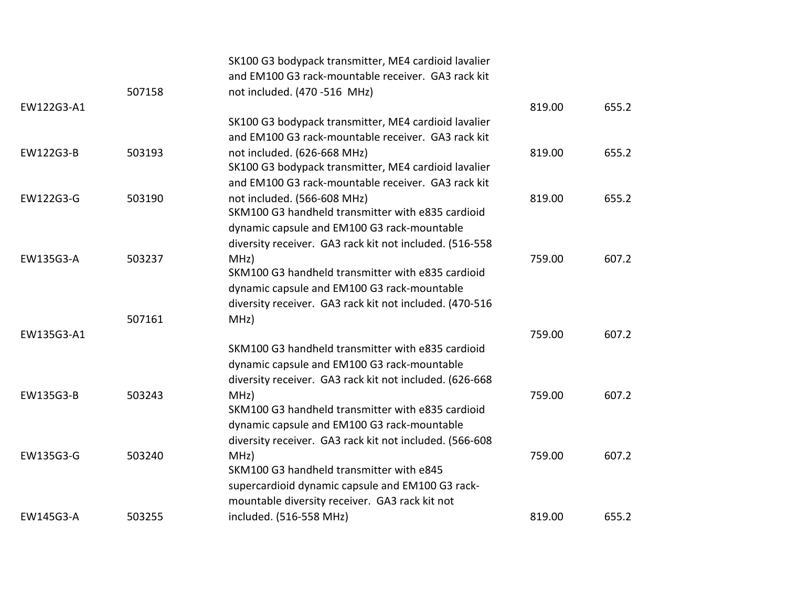|            |        | SK100 G3 bodypack transmitter, ME4 cardioid lavalier    |        |       |
|------------|--------|---------------------------------------------------------|--------|-------|
|            |        | and EM100 G3 rack-mountable receiver. GA3 rack kit      |        |       |
|            | 507158 | not included. (470 -516 MHz)                            |        |       |
| EW122G3-A1 |        |                                                         | 819.00 | 655.2 |
|            |        | SK100 G3 bodypack transmitter, ME4 cardioid lavalier    |        |       |
|            |        | and EM100 G3 rack-mountable receiver. GA3 rack kit      |        |       |
| EW122G3-B  | 503193 | not included. (626-668 MHz)                             | 819.00 | 655.2 |
|            |        | SK100 G3 bodypack transmitter, ME4 cardioid lavalier    |        |       |
|            |        | and EM100 G3 rack-mountable receiver. GA3 rack kit      |        |       |
| EW122G3-G  | 503190 | not included. (566-608 MHz)                             | 819.00 | 655.2 |
|            |        | SKM100 G3 handheld transmitter with e835 cardioid       |        |       |
|            |        | dynamic capsule and EM100 G3 rack-mountable             |        |       |
|            |        | diversity receiver. GA3 rack kit not included. (516-558 |        |       |
| EW135G3-A  | 503237 | MHZ)                                                    | 759.00 | 607.2 |
|            |        | SKM100 G3 handheld transmitter with e835 cardioid       |        |       |
|            |        | dynamic capsule and EM100 G3 rack-mountable             |        |       |
|            |        | diversity receiver. GA3 rack kit not included. (470-516 |        |       |
|            | 507161 | MHz)                                                    |        |       |
| EW135G3-A1 |        |                                                         | 759.00 | 607.2 |
|            |        | SKM100 G3 handheld transmitter with e835 cardioid       |        |       |
|            |        | dynamic capsule and EM100 G3 rack-mountable             |        |       |
|            |        | diversity receiver. GA3 rack kit not included. (626-668 |        |       |
| EW135G3-B  | 503243 | MHZ)                                                    | 759.00 | 607.2 |
|            |        | SKM100 G3 handheld transmitter with e835 cardioid       |        |       |
|            |        | dynamic capsule and EM100 G3 rack-mountable             |        |       |
|            |        | diversity receiver. GA3 rack kit not included. (566-608 |        |       |
| EW135G3-G  | 503240 | MHZ)                                                    | 759.00 | 607.2 |
|            |        | SKM100 G3 handheld transmitter with e845                |        |       |
|            |        | supercardioid dynamic capsule and EM100 G3 rack-        |        |       |
|            |        | mountable diversity receiver. GA3 rack kit not          |        |       |
| EW145G3-A  | 503255 | included. (516-558 MHz)                                 | 819.00 | 655.2 |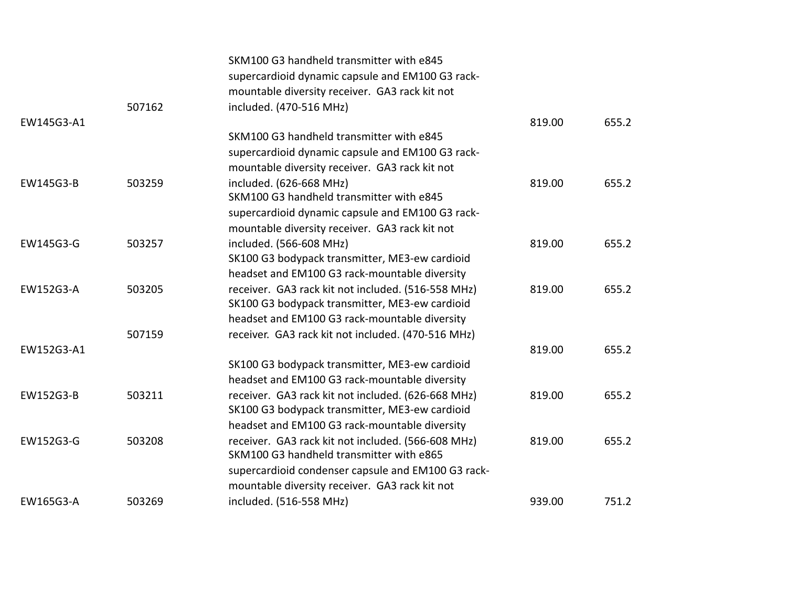|            |        | SKM100 G3 handheld transmitter with e845           |        |       |
|------------|--------|----------------------------------------------------|--------|-------|
|            |        | supercardioid dynamic capsule and EM100 G3 rack-   |        |       |
|            |        | mountable diversity receiver. GA3 rack kit not     |        |       |
|            | 507162 | included. (470-516 MHz)                            |        |       |
| EW145G3-A1 |        |                                                    | 819.00 | 655.2 |
|            |        | SKM100 G3 handheld transmitter with e845           |        |       |
|            |        | supercardioid dynamic capsule and EM100 G3 rack-   |        |       |
|            |        | mountable diversity receiver. GA3 rack kit not     |        |       |
| EW145G3-B  | 503259 | included. (626-668 MHz)                            | 819.00 | 655.2 |
|            |        | SKM100 G3 handheld transmitter with e845           |        |       |
|            |        | supercardioid dynamic capsule and EM100 G3 rack-   |        |       |
|            |        | mountable diversity receiver. GA3 rack kit not     |        |       |
| EW145G3-G  | 503257 | included. (566-608 MHz)                            | 819.00 | 655.2 |
|            |        | SK100 G3 bodypack transmitter, ME3-ew cardioid     |        |       |
|            |        | headset and EM100 G3 rack-mountable diversity      |        |       |
| EW152G3-A  | 503205 | receiver. GA3 rack kit not included. (516-558 MHz) | 819.00 | 655.2 |
|            |        | SK100 G3 bodypack transmitter, ME3-ew cardioid     |        |       |
|            |        | headset and EM100 G3 rack-mountable diversity      |        |       |
|            | 507159 | receiver. GA3 rack kit not included. (470-516 MHz) |        |       |
| EW152G3-A1 |        |                                                    | 819.00 | 655.2 |
|            |        | SK100 G3 bodypack transmitter, ME3-ew cardioid     |        |       |
|            |        | headset and EM100 G3 rack-mountable diversity      |        |       |
| EW152G3-B  | 503211 | receiver. GA3 rack kit not included. (626-668 MHz) | 819.00 | 655.2 |
|            |        | SK100 G3 bodypack transmitter, ME3-ew cardioid     |        |       |
|            |        | headset and EM100 G3 rack-mountable diversity      |        |       |
| EW152G3-G  | 503208 | receiver. GA3 rack kit not included. (566-608 MHz) | 819.00 | 655.2 |
|            |        | SKM100 G3 handheld transmitter with e865           |        |       |
|            |        | supercardioid condenser capsule and EM100 G3 rack- |        |       |
|            |        | mountable diversity receiver. GA3 rack kit not     |        |       |
| EW165G3-A  | 503269 | included. (516-558 MHz)                            | 939.00 | 751.2 |
|            |        |                                                    |        |       |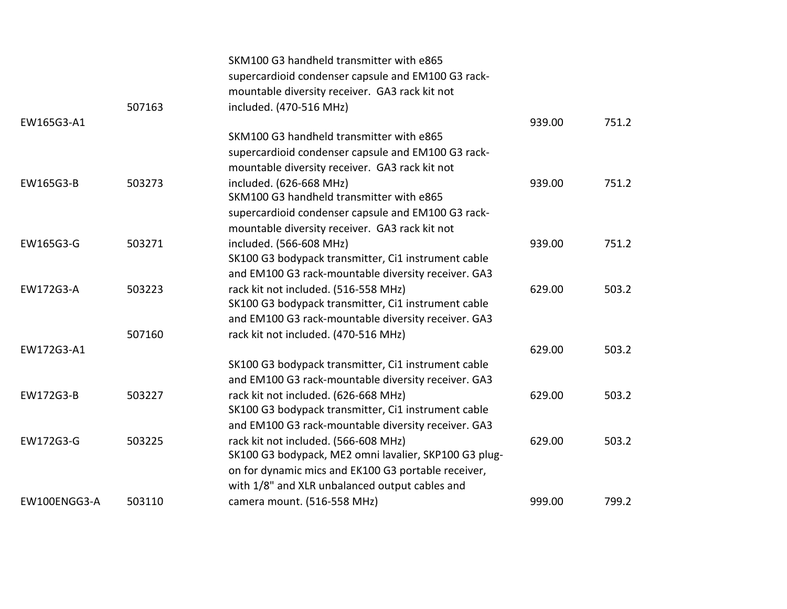|              |        | SKM100 G3 handheld transmitter with e865              |        |       |
|--------------|--------|-------------------------------------------------------|--------|-------|
|              |        | supercardioid condenser capsule and EM100 G3 rack-    |        |       |
|              |        | mountable diversity receiver. GA3 rack kit not        |        |       |
|              | 507163 | included. (470-516 MHz)                               |        |       |
| EW165G3-A1   |        |                                                       | 939.00 | 751.2 |
|              |        | SKM100 G3 handheld transmitter with e865              |        |       |
|              |        | supercardioid condenser capsule and EM100 G3 rack-    |        |       |
|              |        | mountable diversity receiver. GA3 rack kit not        |        |       |
| EW165G3-B    | 503273 | included. (626-668 MHz)                               | 939.00 | 751.2 |
|              |        | SKM100 G3 handheld transmitter with e865              |        |       |
|              |        | supercardioid condenser capsule and EM100 G3 rack-    |        |       |
|              |        | mountable diversity receiver. GA3 rack kit not        |        |       |
| EW165G3-G    | 503271 | included. (566-608 MHz)                               | 939.00 | 751.2 |
|              |        | SK100 G3 bodypack transmitter, Ci1 instrument cable   |        |       |
|              |        | and EM100 G3 rack-mountable diversity receiver. GA3   |        |       |
| EW172G3-A    | 503223 | rack kit not included. (516-558 MHz)                  | 629.00 | 503.2 |
|              |        | SK100 G3 bodypack transmitter, Ci1 instrument cable   |        |       |
|              |        | and EM100 G3 rack-mountable diversity receiver. GA3   |        |       |
|              | 507160 | rack kit not included. (470-516 MHz)                  |        |       |
| EW172G3-A1   |        |                                                       | 629.00 | 503.2 |
|              |        | SK100 G3 bodypack transmitter, Ci1 instrument cable   |        |       |
|              |        | and EM100 G3 rack-mountable diversity receiver. GA3   |        |       |
| EW172G3-B    | 503227 | rack kit not included. (626-668 MHz)                  | 629.00 | 503.2 |
|              |        | SK100 G3 bodypack transmitter, Ci1 instrument cable   |        |       |
|              |        | and EM100 G3 rack-mountable diversity receiver. GA3   |        |       |
| EW172G3-G    | 503225 | rack kit not included. (566-608 MHz)                  | 629.00 | 503.2 |
|              |        | SK100 G3 bodypack, ME2 omni lavalier, SKP100 G3 plug- |        |       |
|              |        | on for dynamic mics and EK100 G3 portable receiver,   |        |       |
|              |        |                                                       |        |       |
|              |        | with 1/8" and XLR unbalanced output cables and        |        |       |
| EW100ENGG3-A | 503110 | camera mount. (516-558 MHz)                           | 999.00 | 799.2 |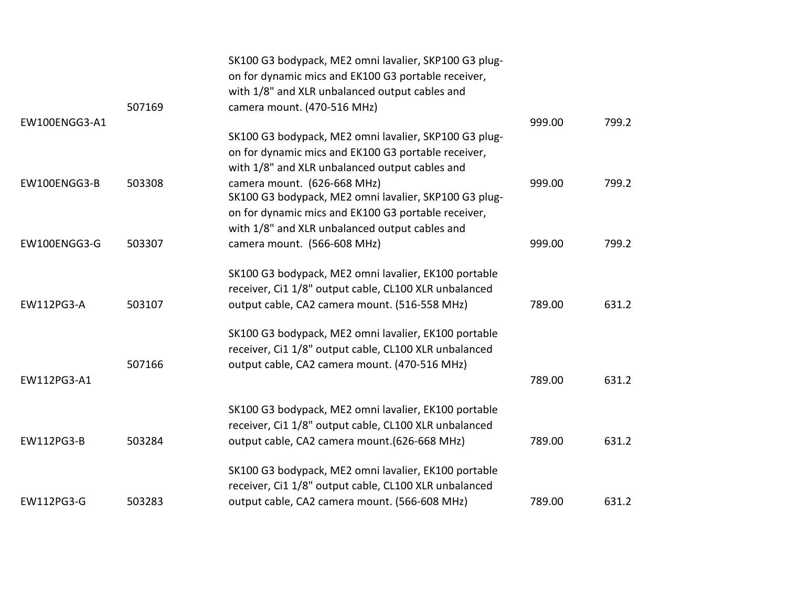|                   | 507169 | SK100 G3 bodypack, ME2 omni lavalier, SKP100 G3 plug-<br>on for dynamic mics and EK100 G3 portable receiver,<br>with 1/8" and XLR unbalanced output cables and<br>camera mount. (470-516 MHz) |        |       |
|-------------------|--------|-----------------------------------------------------------------------------------------------------------------------------------------------------------------------------------------------|--------|-------|
| EW100ENGG3-A1     |        |                                                                                                                                                                                               | 999.00 | 799.2 |
|                   |        | SK100 G3 bodypack, ME2 omni lavalier, SKP100 G3 plug-<br>on for dynamic mics and EK100 G3 portable receiver,<br>with 1/8" and XLR unbalanced output cables and                                |        |       |
| EW100ENGG3-B      | 503308 | camera mount. (626-668 MHz)<br>SK100 G3 bodypack, ME2 omni lavalier, SKP100 G3 plug-<br>on for dynamic mics and EK100 G3 portable receiver,<br>with 1/8" and XLR unbalanced output cables and | 999.00 | 799.2 |
| EW100ENGG3-G      | 503307 | camera mount. (566-608 MHz)                                                                                                                                                                   | 999.00 | 799.2 |
| <b>EW112PG3-A</b> | 503107 | SK100 G3 bodypack, ME2 omni lavalier, EK100 portable<br>receiver, Ci1 1/8" output cable, CL100 XLR unbalanced<br>output cable, CA2 camera mount. (516-558 MHz)                                | 789.00 | 631.2 |
|                   | 507166 | SK100 G3 bodypack, ME2 omni lavalier, EK100 portable<br>receiver, Ci1 1/8" output cable, CL100 XLR unbalanced<br>output cable, CA2 camera mount. (470-516 MHz)                                |        |       |
| EW112PG3-A1       |        |                                                                                                                                                                                               | 789.00 | 631.2 |
| EW112PG3-B        | 503284 | SK100 G3 bodypack, ME2 omni lavalier, EK100 portable<br>receiver, Ci1 1/8" output cable, CL100 XLR unbalanced<br>output cable, CA2 camera mount. (626-668 MHz)                                | 789.00 | 631.2 |
|                   |        | SK100 G3 bodypack, ME2 omni lavalier, EK100 portable<br>receiver, Ci1 1/8" output cable, CL100 XLR unbalanced                                                                                 |        |       |
| EW112PG3-G        | 503283 | output cable, CA2 camera mount. (566-608 MHz)                                                                                                                                                 | 789.00 | 631.2 |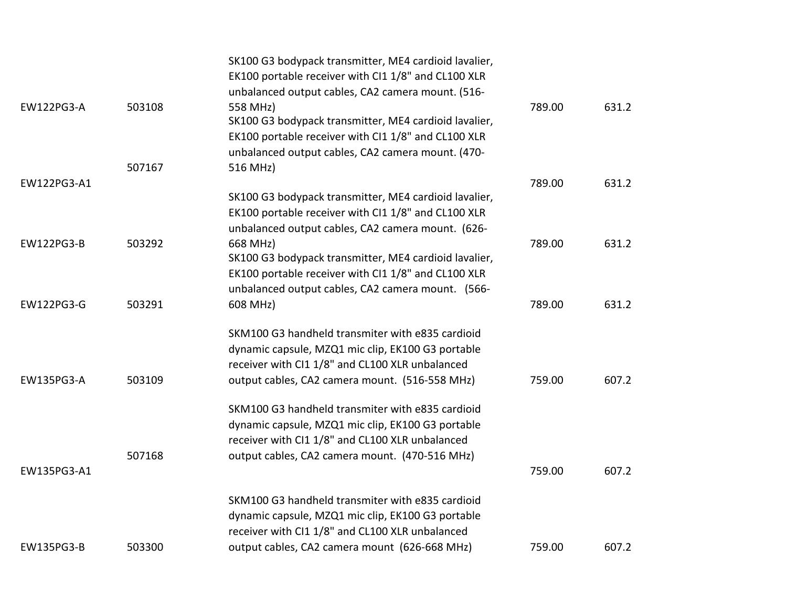|                   |        | SK100 G3 bodypack transmitter, ME4 cardioid lavalier,<br>EK100 portable receiver with CI1 1/8" and CL100 XLR<br>unbalanced output cables, CA2 camera mount. (516-                                          |        |       |
|-------------------|--------|------------------------------------------------------------------------------------------------------------------------------------------------------------------------------------------------------------|--------|-------|
| <b>EW122PG3-A</b> | 503108 | 558 MHz)<br>SK100 G3 bodypack transmitter, ME4 cardioid lavalier,<br>EK100 portable receiver with CI1 1/8" and CL100 XLR<br>unbalanced output cables, CA2 camera mount. (470-                              | 789.00 | 631.2 |
|                   | 507167 | 516 MHz)                                                                                                                                                                                                   |        |       |
| EW122PG3-A1       |        | SK100 G3 bodypack transmitter, ME4 cardioid lavalier,<br>EK100 portable receiver with CI1 1/8" and CL100 XLR<br>unbalanced output cables, CA2 camera mount. (626-                                          | 789.00 | 631.2 |
| <b>EW122PG3-B</b> | 503292 | 668 MHz)<br>SK100 G3 bodypack transmitter, ME4 cardioid lavalier,<br>EK100 portable receiver with CI1 1/8" and CL100 XLR<br>unbalanced output cables, CA2 camera mount. (566-                              | 789.00 | 631.2 |
| EW122PG3-G        | 503291 | 608 MHz)                                                                                                                                                                                                   | 789.00 | 631.2 |
| EW135PG3-A        | 503109 | SKM100 G3 handheld transmiter with e835 cardioid<br>dynamic capsule, MZQ1 mic clip, EK100 G3 portable<br>receiver with CI1 1/8" and CL100 XLR unbalanced<br>output cables, CA2 camera mount. (516-558 MHz) | 759.00 | 607.2 |
|                   | 507168 | SKM100 G3 handheld transmiter with e835 cardioid<br>dynamic capsule, MZQ1 mic clip, EK100 G3 portable<br>receiver with CI1 1/8" and CL100 XLR unbalanced<br>output cables, CA2 camera mount. (470-516 MHz) |        |       |
| EW135PG3-A1       |        |                                                                                                                                                                                                            | 759.00 | 607.2 |
|                   |        | SKM100 G3 handheld transmiter with e835 cardioid<br>dynamic capsule, MZQ1 mic clip, EK100 G3 portable<br>receiver with CI1 1/8" and CL100 XLR unbalanced                                                   |        |       |
| <b>EW135PG3-B</b> | 503300 | output cables, CA2 camera mount (626-668 MHz)                                                                                                                                                              | 759.00 | 607.2 |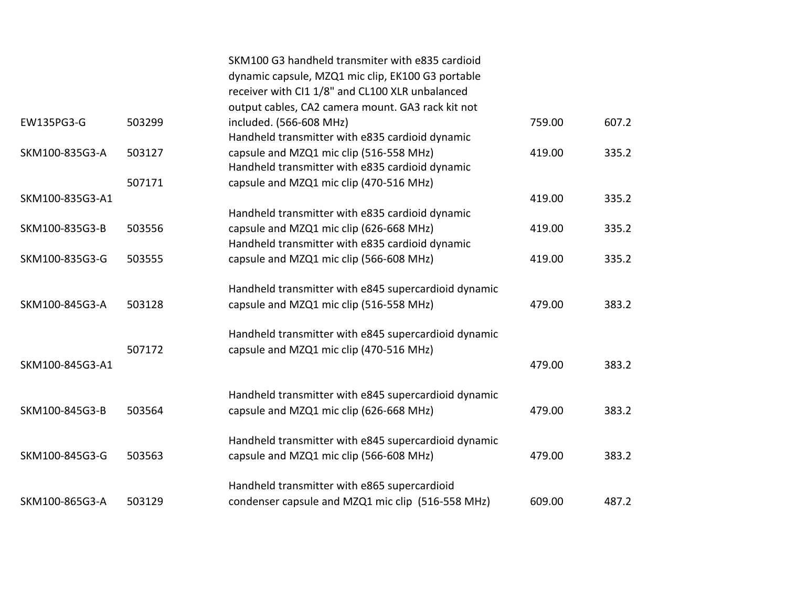|                 |        | SKM100 G3 handheld transmiter with e835 cardioid<br>dynamic capsule, MZQ1 mic clip, EK100 G3 portable |        |       |
|-----------------|--------|-------------------------------------------------------------------------------------------------------|--------|-------|
|                 |        | receiver with CI1 1/8" and CL100 XLR unbalanced                                                       |        |       |
|                 |        | output cables, CA2 camera mount. GA3 rack kit not                                                     |        |       |
| EW135PG3-G      | 503299 | included. (566-608 MHz)                                                                               | 759.00 | 607.2 |
|                 |        | Handheld transmitter with e835 cardioid dynamic                                                       |        |       |
|                 |        |                                                                                                       |        |       |
| SKM100-835G3-A  | 503127 | capsule and MZQ1 mic clip (516-558 MHz)                                                               | 419.00 | 335.2 |
|                 |        | Handheld transmitter with e835 cardioid dynamic                                                       |        |       |
|                 | 507171 | capsule and MZQ1 mic clip (470-516 MHz)                                                               |        |       |
| SKM100-835G3-A1 |        |                                                                                                       | 419.00 | 335.2 |
|                 |        | Handheld transmitter with e835 cardioid dynamic                                                       |        |       |
| SKM100-835G3-B  | 503556 | capsule and MZQ1 mic clip (626-668 MHz)                                                               | 419.00 | 335.2 |
|                 |        | Handheld transmitter with e835 cardioid dynamic                                                       |        |       |
| SKM100-835G3-G  | 503555 | capsule and MZQ1 mic clip (566-608 MHz)                                                               | 419.00 | 335.2 |
|                 |        |                                                                                                       |        |       |
|                 |        | Handheld transmitter with e845 supercardioid dynamic                                                  |        |       |
| SKM100-845G3-A  | 503128 | capsule and MZQ1 mic clip (516-558 MHz)                                                               | 479.00 | 383.2 |
|                 |        |                                                                                                       |        |       |
|                 |        | Handheld transmitter with e845 supercardioid dynamic                                                  |        |       |
|                 | 507172 | capsule and MZQ1 mic clip (470-516 MHz)                                                               |        |       |
| SKM100-845G3-A1 |        |                                                                                                       | 479.00 | 383.2 |
|                 |        |                                                                                                       |        |       |
|                 |        | Handheld transmitter with e845 supercardioid dynamic                                                  |        |       |
| SKM100-845G3-B  | 503564 | capsule and MZQ1 mic clip (626-668 MHz)                                                               | 479.00 | 383.2 |
|                 |        |                                                                                                       |        |       |
|                 |        | Handheld transmitter with e845 supercardioid dynamic                                                  |        |       |
| SKM100-845G3-G  | 503563 | capsule and MZQ1 mic clip (566-608 MHz)                                                               | 479.00 | 383.2 |
|                 |        |                                                                                                       |        |       |
|                 |        | Handheld transmitter with e865 supercardioid                                                          |        |       |
| SKM100-865G3-A  | 503129 | condenser capsule and MZQ1 mic clip (516-558 MHz)                                                     | 609.00 | 487.2 |
|                 |        |                                                                                                       |        |       |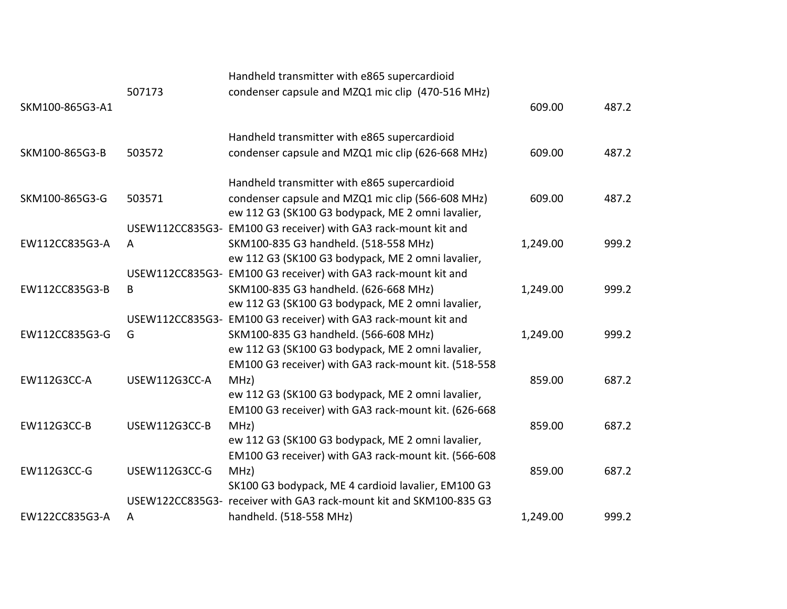|                 |               | Handheld transmitter with e865 supercardioid                       |          |       |
|-----------------|---------------|--------------------------------------------------------------------|----------|-------|
| SKM100-865G3-A1 | 507173        | condenser capsule and MZQ1 mic clip (470-516 MHz)                  | 609.00   | 487.2 |
|                 |               | Handheld transmitter with e865 supercardioid                       |          |       |
| SKM100-865G3-B  | 503572        | condenser capsule and MZQ1 mic clip (626-668 MHz)                  | 609.00   | 487.2 |
|                 |               | Handheld transmitter with e865 supercardioid                       |          |       |
| SKM100-865G3-G  | 503571        | condenser capsule and MZQ1 mic clip (566-608 MHz)                  | 609.00   | 487.2 |
|                 |               | ew 112 G3 (SK100 G3 bodypack, ME 2 omni lavalier,                  |          |       |
|                 |               | USEW112CC835G3- EM100 G3 receiver) with GA3 rack-mount kit and     |          |       |
| EW112CC835G3-A  | A             | SKM100-835 G3 handheld. (518-558 MHz)                              | 1,249.00 | 999.2 |
|                 |               | ew 112 G3 (SK100 G3 bodypack, ME 2 omni lavalier,                  |          |       |
|                 |               | USEW112CC835G3- EM100 G3 receiver) with GA3 rack-mount kit and     |          |       |
| EW112CC835G3-B  | B             | SKM100-835 G3 handheld. (626-668 MHz)                              | 1,249.00 | 999.2 |
|                 |               | ew 112 G3 (SK100 G3 bodypack, ME 2 omni lavalier,                  |          |       |
|                 |               | USEW112CC835G3- EM100 G3 receiver) with GA3 rack-mount kit and     |          |       |
| EW112CC835G3-G  | G             | SKM100-835 G3 handheld. (566-608 MHz)                              | 1,249.00 | 999.2 |
|                 |               | ew 112 G3 (SK100 G3 bodypack, ME 2 omni lavalier,                  |          |       |
|                 |               | EM100 G3 receiver) with GA3 rack-mount kit. (518-558               |          |       |
| EW112G3CC-A     | USEW112G3CC-A | MHZ)                                                               | 859.00   | 687.2 |
|                 |               | ew 112 G3 (SK100 G3 bodypack, ME 2 omni lavalier,                  |          |       |
|                 |               | EM100 G3 receiver) with GA3 rack-mount kit. (626-668               |          |       |
| EW112G3CC-B     | USEW112G3CC-B | MHZ)                                                               | 859.00   | 687.2 |
|                 |               | ew 112 G3 (SK100 G3 bodypack, ME 2 omni lavalier,                  |          |       |
|                 |               | EM100 G3 receiver) with GA3 rack-mount kit. (566-608               |          |       |
| EW112G3CC-G     | USEW112G3CC-G | MHz)                                                               | 859.00   | 687.2 |
|                 |               | SK100 G3 bodypack, ME 4 cardioid lavalier, EM100 G3                |          |       |
|                 |               | USEW122CC835G3- receiver with GA3 rack-mount kit and SKM100-835 G3 |          |       |
| EW122CC835G3-A  | A             | handheld. (518-558 MHz)                                            | 1,249.00 | 999.2 |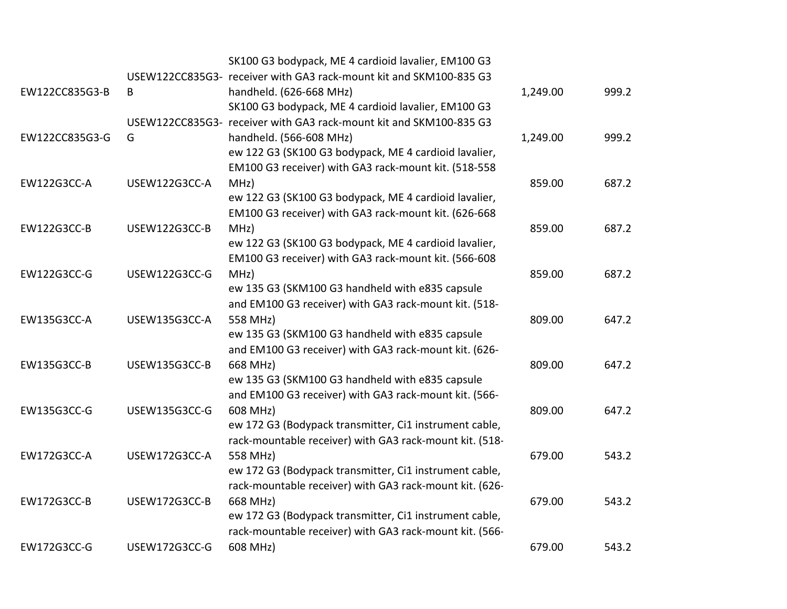|                |                      | SK100 G3 bodypack, ME 4 cardioid lavalier, EM100 G3                |          |       |
|----------------|----------------------|--------------------------------------------------------------------|----------|-------|
|                |                      | USEW122CC835G3- receiver with GA3 rack-mount kit and SKM100-835 G3 |          |       |
| EW122CC835G3-B | B                    | handheld. (626-668 MHz)                                            | 1,249.00 | 999.2 |
|                |                      | SK100 G3 bodypack, ME 4 cardioid lavalier, EM100 G3                |          |       |
|                |                      | USEW122CC835G3- receiver with GA3 rack-mount kit and SKM100-835 G3 |          |       |
| EW122CC835G3-G | G                    | handheld. (566-608 MHz)                                            | 1,249.00 | 999.2 |
|                |                      | ew 122 G3 (SK100 G3 bodypack, ME 4 cardioid lavalier,              |          |       |
|                |                      | EM100 G3 receiver) with GA3 rack-mount kit. (518-558               |          |       |
| EW122G3CC-A    | USEW122G3CC-A        | MHZ)                                                               | 859.00   | 687.2 |
|                |                      | ew 122 G3 (SK100 G3 bodypack, ME 4 cardioid lavalier,              |          |       |
|                |                      | EM100 G3 receiver) with GA3 rack-mount kit. (626-668               |          |       |
| EW122G3CC-B    | USEW122G3CC-B        | MHZ)                                                               | 859.00   | 687.2 |
|                |                      | ew 122 G3 (SK100 G3 bodypack, ME 4 cardioid lavalier,              |          |       |
|                |                      | EM100 G3 receiver) with GA3 rack-mount kit. (566-608               |          |       |
| EW122G3CC-G    | <b>USEW122G3CC-G</b> | MHZ)                                                               | 859.00   | 687.2 |
|                |                      | ew 135 G3 (SKM100 G3 handheld with e835 capsule                    |          |       |
|                |                      | and EM100 G3 receiver) with GA3 rack-mount kit. (518-              |          |       |
| EW135G3CC-A    | USEW135G3CC-A        | 558 MHz)                                                           | 809.00   | 647.2 |
|                |                      | ew 135 G3 (SKM100 G3 handheld with e835 capsule                    |          |       |
|                |                      | and EM100 G3 receiver) with GA3 rack-mount kit. (626-              |          |       |
| EW135G3CC-B    | USEW135G3CC-B        | 668 MHz)                                                           | 809.00   | 647.2 |
|                |                      | ew 135 G3 (SKM100 G3 handheld with e835 capsule                    |          |       |
|                |                      | and EM100 G3 receiver) with GA3 rack-mount kit. (566-              |          |       |
| EW135G3CC-G    | USEW135G3CC-G        | 608 MHz)                                                           | 809.00   | 647.2 |
|                |                      | ew 172 G3 (Bodypack transmitter, Ci1 instrument cable,             |          |       |
|                |                      | rack-mountable receiver) with GA3 rack-mount kit. (518-            |          |       |
| EW172G3CC-A    | USEW172G3CC-A        | 558 MHz)                                                           | 679.00   | 543.2 |
|                |                      | ew 172 G3 (Bodypack transmitter, Ci1 instrument cable,             |          |       |
|                |                      | rack-mountable receiver) with GA3 rack-mount kit. (626-            |          |       |
| EW172G3CC-B    | USEW172G3CC-B        | 668 MHz)                                                           | 679.00   | 543.2 |
|                |                      | ew 172 G3 (Bodypack transmitter, Ci1 instrument cable,             |          |       |
|                |                      | rack-mountable receiver) with GA3 rack-mount kit. (566-            |          |       |
| EW172G3CC-G    | USEW172G3CC-G        | 608 MHz)                                                           | 679.00   | 543.2 |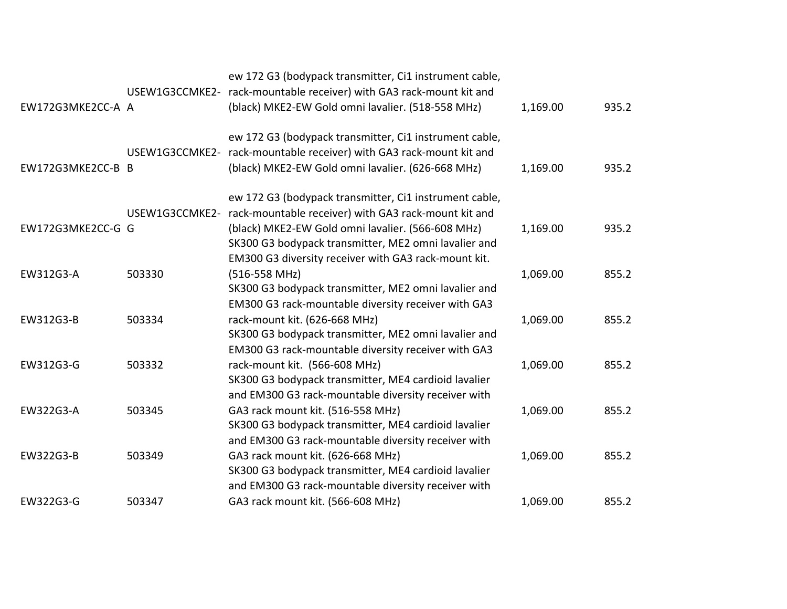|                   |                | ew 172 G3 (bodypack transmitter, Ci1 instrument cable,<br>USEW1G3CCMKE2- rack-mountable receiver) with GA3 rack-mount kit and |          |       |
|-------------------|----------------|-------------------------------------------------------------------------------------------------------------------------------|----------|-------|
| EW172G3MKE2CC-A A |                | (black) MKE2-EW Gold omni lavalier. (518-558 MHz)                                                                             | 1,169.00 | 935.2 |
|                   |                | ew 172 G3 (bodypack transmitter, Ci1 instrument cable,                                                                        |          |       |
|                   | USEW1G3CCMKE2- | rack-mountable receiver) with GA3 rack-mount kit and                                                                          |          |       |
| EW172G3MKE2CC-B B |                | (black) MKE2-EW Gold omni lavalier. (626-668 MHz)                                                                             | 1,169.00 | 935.2 |
|                   |                | ew 172 G3 (bodypack transmitter, Ci1 instrument cable,                                                                        |          |       |
|                   | USEW1G3CCMKE2- | rack-mountable receiver) with GA3 rack-mount kit and                                                                          |          |       |
| EW172G3MKE2CC-G G |                | (black) MKE2-EW Gold omni lavalier. (566-608 MHz)                                                                             | 1,169.00 | 935.2 |
|                   |                | SK300 G3 bodypack transmitter, ME2 omni lavalier and                                                                          |          |       |
|                   |                | EM300 G3 diversity receiver with GA3 rack-mount kit.                                                                          |          |       |
| EW312G3-A         | 503330         | $(516 - 558$ MHz)                                                                                                             | 1,069.00 | 855.2 |
|                   |                | SK300 G3 bodypack transmitter, ME2 omni lavalier and                                                                          |          |       |
|                   |                | EM300 G3 rack-mountable diversity receiver with GA3                                                                           |          |       |
| EW312G3-B         | 503334         | rack-mount kit. (626-668 MHz)                                                                                                 | 1,069.00 | 855.2 |
|                   |                | SK300 G3 bodypack transmitter, ME2 omni lavalier and                                                                          |          |       |
|                   |                | EM300 G3 rack-mountable diversity receiver with GA3                                                                           |          |       |
| EW312G3-G         | 503332         | rack-mount kit. (566-608 MHz)                                                                                                 | 1,069.00 | 855.2 |
|                   |                | SK300 G3 bodypack transmitter, ME4 cardioid lavalier                                                                          |          |       |
|                   |                | and EM300 G3 rack-mountable diversity receiver with                                                                           |          |       |
| EW322G3-A         | 503345         | GA3 rack mount kit. (516-558 MHz)                                                                                             | 1,069.00 | 855.2 |
|                   |                | SK300 G3 bodypack transmitter, ME4 cardioid lavalier                                                                          |          |       |
|                   |                | and EM300 G3 rack-mountable diversity receiver with                                                                           |          |       |
| EW322G3-B         | 503349         | GA3 rack mount kit. (626-668 MHz)                                                                                             | 1,069.00 | 855.2 |
|                   |                | SK300 G3 bodypack transmitter, ME4 cardioid lavalier                                                                          |          |       |
|                   |                | and EM300 G3 rack-mountable diversity receiver with                                                                           |          |       |
| EW322G3-G         | 503347         | GA3 rack mount kit. (566-608 MHz)                                                                                             | 1,069.00 | 855.2 |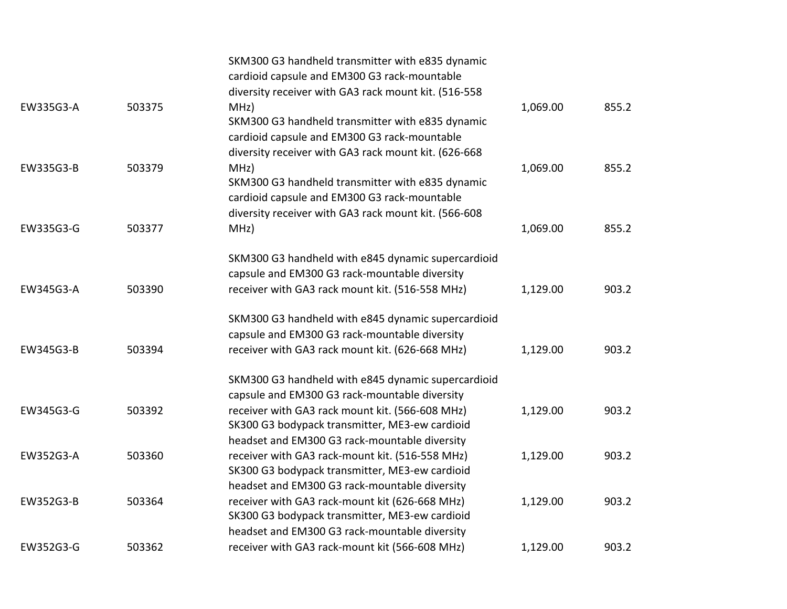|           |        | SKM300 G3 handheld transmitter with e835 dynamic<br>cardioid capsule and EM300 G3 rack-mountable<br>diversity receiver with GA3 rack mount kit. (516-558         |          |       |
|-----------|--------|------------------------------------------------------------------------------------------------------------------------------------------------------------------|----------|-------|
| EW335G3-A | 503375 | MHz)<br>SKM300 G3 handheld transmitter with e835 dynamic<br>cardioid capsule and EM300 G3 rack-mountable                                                         | 1,069.00 | 855.2 |
| EW335G3-B | 503379 | diversity receiver with GA3 rack mount kit. (626-668<br>MHZ)<br>SKM300 G3 handheld transmitter with e835 dynamic<br>cardioid capsule and EM300 G3 rack-mountable | 1,069.00 | 855.2 |
| EW335G3-G | 503377 | diversity receiver with GA3 rack mount kit. (566-608<br>MHz)                                                                                                     | 1,069.00 | 855.2 |
| EW345G3-A | 503390 | SKM300 G3 handheld with e845 dynamic supercardioid<br>capsule and EM300 G3 rack-mountable diversity<br>receiver with GA3 rack mount kit. (516-558 MHz)           | 1,129.00 | 903.2 |
| EW345G3-B | 503394 | SKM300 G3 handheld with e845 dynamic supercardioid<br>capsule and EM300 G3 rack-mountable diversity<br>receiver with GA3 rack mount kit. (626-668 MHz)           | 1,129.00 | 903.2 |
|           |        | SKM300 G3 handheld with e845 dynamic supercardioid<br>capsule and EM300 G3 rack-mountable diversity                                                              |          |       |
| EW345G3-G | 503392 | receiver with GA3 rack mount kit. (566-608 MHz)<br>SK300 G3 bodypack transmitter, ME3-ew cardioid                                                                | 1,129.00 | 903.2 |
| EW352G3-A | 503360 | headset and EM300 G3 rack-mountable diversity<br>receiver with GA3 rack-mount kit. (516-558 MHz)<br>SK300 G3 bodypack transmitter, ME3-ew cardioid               | 1,129.00 | 903.2 |
| EW352G3-B | 503364 | headset and EM300 G3 rack-mountable diversity<br>receiver with GA3 rack-mount kit (626-668 MHz)<br>SK300 G3 bodypack transmitter, ME3-ew cardioid                | 1,129.00 | 903.2 |
| EW352G3-G | 503362 | headset and EM300 G3 rack-mountable diversity<br>receiver with GA3 rack-mount kit (566-608 MHz)                                                                  | 1,129.00 | 903.2 |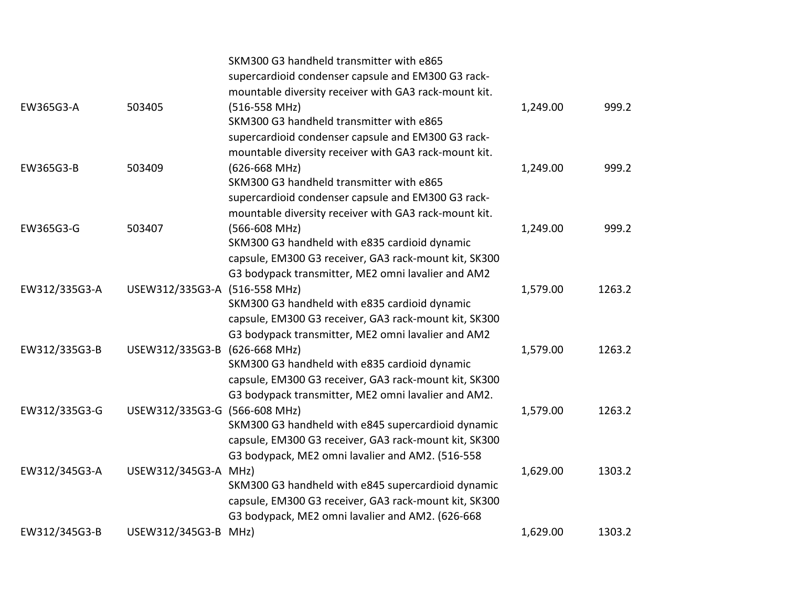|               |                               | SKM300 G3 handheld transmitter with e865              |          |        |
|---------------|-------------------------------|-------------------------------------------------------|----------|--------|
|               |                               | supercardioid condenser capsule and EM300 G3 rack-    |          |        |
|               |                               | mountable diversity receiver with GA3 rack-mount kit. |          |        |
| EW365G3-A     | 503405                        | $(516 - 558$ MHz)                                     | 1,249.00 | 999.2  |
|               |                               | SKM300 G3 handheld transmitter with e865              |          |        |
|               |                               | supercardioid condenser capsule and EM300 G3 rack-    |          |        |
|               |                               | mountable diversity receiver with GA3 rack-mount kit. |          |        |
| EW365G3-B     | 503409                        | $(626 - 668$ MHz)                                     | 1,249.00 | 999.2  |
|               |                               | SKM300 G3 handheld transmitter with e865              |          |        |
|               |                               | supercardioid condenser capsule and EM300 G3 rack-    |          |        |
|               |                               | mountable diversity receiver with GA3 rack-mount kit. |          |        |
| EW365G3-G     | 503407                        | (566-608 MHz)                                         | 1,249.00 | 999.2  |
|               |                               | SKM300 G3 handheld with e835 cardioid dynamic         |          |        |
|               |                               | capsule, EM300 G3 receiver, GA3 rack-mount kit, SK300 |          |        |
|               |                               | G3 bodypack transmitter, ME2 omni lavalier and AM2    |          |        |
| EW312/335G3-A | USEW312/335G3-A               | $(516 - 558$ MHz)                                     | 1,579.00 | 1263.2 |
|               |                               | SKM300 G3 handheld with e835 cardioid dynamic         |          |        |
|               |                               | capsule, EM300 G3 receiver, GA3 rack-mount kit, SK300 |          |        |
|               |                               | G3 bodypack transmitter, ME2 omni lavalier and AM2    |          |        |
| EW312/335G3-B | USEW312/335G3-B               | $(626 - 668$ MHz)                                     | 1,579.00 | 1263.2 |
|               |                               | SKM300 G3 handheld with e835 cardioid dynamic         |          |        |
|               |                               | capsule, EM300 G3 receiver, GA3 rack-mount kit, SK300 |          |        |
|               |                               | G3 bodypack transmitter, ME2 omni lavalier and AM2.   |          |        |
| EW312/335G3-G | USEW312/335G3-G (566-608 MHz) |                                                       | 1,579.00 | 1263.2 |
|               |                               | SKM300 G3 handheld with e845 supercardioid dynamic    |          |        |
|               |                               | capsule, EM300 G3 receiver, GA3 rack-mount kit, SK300 |          |        |
|               |                               | G3 bodypack, ME2 omni lavalier and AM2. (516-558      |          |        |
| EW312/345G3-A | USEW312/345G3-A MHz)          |                                                       | 1,629.00 | 1303.2 |
|               |                               | SKM300 G3 handheld with e845 supercardioid dynamic    |          |        |
|               |                               | capsule, EM300 G3 receiver, GA3 rack-mount kit, SK300 |          |        |
|               |                               | G3 bodypack, ME2 omni lavalier and AM2. (626-668      |          |        |
| EW312/345G3-B | USEW312/345G3-B               | MHZ)                                                  | 1,629.00 | 1303.2 |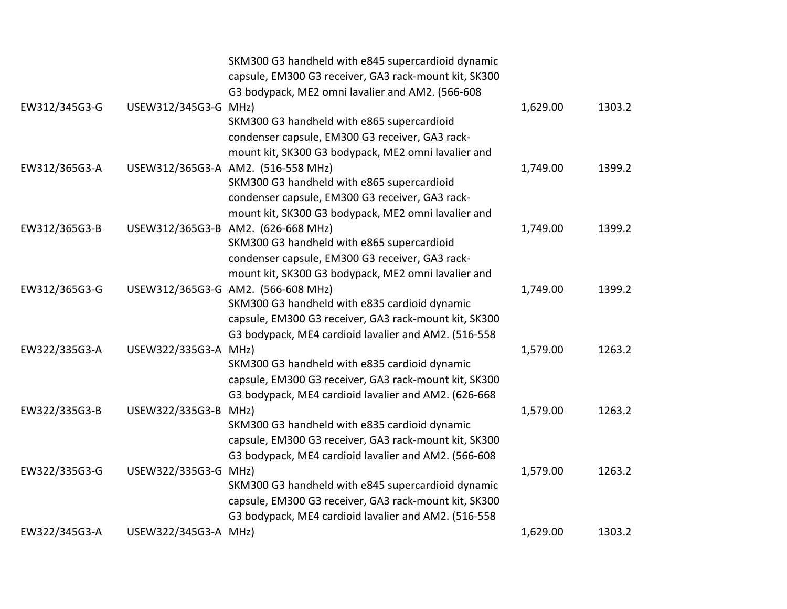|               |                      | SKM300 G3 handheld with e845 supercardioid dynamic    |          |        |
|---------------|----------------------|-------------------------------------------------------|----------|--------|
|               |                      | capsule, EM300 G3 receiver, GA3 rack-mount kit, SK300 |          |        |
|               |                      | G3 bodypack, ME2 omni lavalier and AM2. (566-608      |          |        |
| EW312/345G3-G | USEW312/345G3-G MHz) |                                                       | 1,629.00 | 1303.2 |
|               |                      | SKM300 G3 handheld with e865 supercardioid            |          |        |
|               |                      | condenser capsule, EM300 G3 receiver, GA3 rack-       |          |        |
|               |                      | mount kit, SK300 G3 bodypack, ME2 omni lavalier and   |          |        |
| EW312/365G3-A |                      | USEW312/365G3-A AM2. (516-558 MHz)                    | 1,749.00 | 1399.2 |
|               |                      | SKM300 G3 handheld with e865 supercardioid            |          |        |
|               |                      | condenser capsule, EM300 G3 receiver, GA3 rack-       |          |        |
|               |                      | mount kit, SK300 G3 bodypack, ME2 omni lavalier and   |          |        |
| EW312/365G3-B |                      | USEW312/365G3-B AM2. (626-668 MHz)                    | 1,749.00 | 1399.2 |
|               |                      | SKM300 G3 handheld with e865 supercardioid            |          |        |
|               |                      | condenser capsule, EM300 G3 receiver, GA3 rack-       |          |        |
|               |                      | mount kit, SK300 G3 bodypack, ME2 omni lavalier and   |          |        |
| EW312/365G3-G |                      | USEW312/365G3-G AM2. (566-608 MHz)                    | 1,749.00 | 1399.2 |
|               |                      | SKM300 G3 handheld with e835 cardioid dynamic         |          |        |
|               |                      | capsule, EM300 G3 receiver, GA3 rack-mount kit, SK300 |          |        |
|               |                      | G3 bodypack, ME4 cardioid lavalier and AM2. (516-558  |          |        |
| EW322/335G3-A | USEW322/335G3-A      | MHZ)                                                  | 1,579.00 | 1263.2 |
|               |                      | SKM300 G3 handheld with e835 cardioid dynamic         |          |        |
|               |                      | capsule, EM300 G3 receiver, GA3 rack-mount kit, SK300 |          |        |
|               |                      | G3 bodypack, ME4 cardioid lavalier and AM2. (626-668  |          |        |
| EW322/335G3-B | USEW322/335G3-B MHz) |                                                       | 1,579.00 | 1263.2 |
|               |                      | SKM300 G3 handheld with e835 cardioid dynamic         |          |        |
|               |                      | capsule, EM300 G3 receiver, GA3 rack-mount kit, SK300 |          |        |
|               |                      | G3 bodypack, ME4 cardioid lavalier and AM2. (566-608  |          |        |
| EW322/335G3-G | USEW322/335G3-G MHz) |                                                       | 1,579.00 | 1263.2 |
|               |                      | SKM300 G3 handheld with e845 supercardioid dynamic    |          |        |
|               |                      | capsule, EM300 G3 receiver, GA3 rack-mount kit, SK300 |          |        |
|               |                      | G3 bodypack, ME4 cardioid lavalier and AM2. (516-558  |          |        |
| EW322/345G3-A | USEW322/345G3-A      | MHz)                                                  | 1,629.00 | 1303.2 |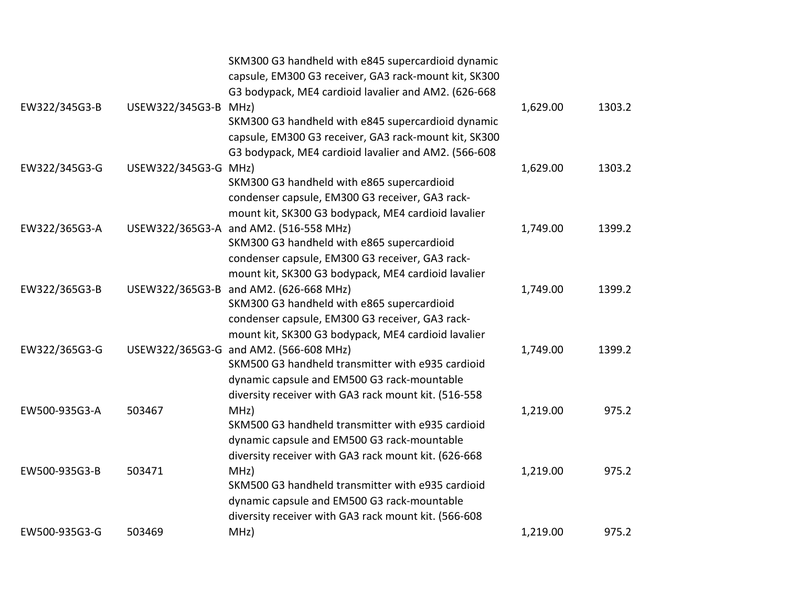|               |                      | SKM300 G3 handheld with e845 supercardioid dynamic    |          |        |
|---------------|----------------------|-------------------------------------------------------|----------|--------|
|               |                      | capsule, EM300 G3 receiver, GA3 rack-mount kit, SK300 |          |        |
|               |                      | G3 bodypack, ME4 cardioid lavalier and AM2. (626-668  |          |        |
| EW322/345G3-B | USEW322/345G3-B      | MHZ)                                                  | 1,629.00 | 1303.2 |
|               |                      | SKM300 G3 handheld with e845 supercardioid dynamic    |          |        |
|               |                      | capsule, EM300 G3 receiver, GA3 rack-mount kit, SK300 |          |        |
|               |                      | G3 bodypack, ME4 cardioid lavalier and AM2. (566-608  |          |        |
| EW322/345G3-G | USEW322/345G3-G MHz) |                                                       | 1,629.00 | 1303.2 |
|               |                      | SKM300 G3 handheld with e865 supercardioid            |          |        |
|               |                      | condenser capsule, EM300 G3 receiver, GA3 rack-       |          |        |
|               |                      | mount kit, SK300 G3 bodypack, ME4 cardioid lavalier   |          |        |
| EW322/365G3-A |                      | USEW322/365G3-A and AM2. (516-558 MHz)                | 1,749.00 | 1399.2 |
|               |                      | SKM300 G3 handheld with e865 supercardioid            |          |        |
|               |                      | condenser capsule, EM300 G3 receiver, GA3 rack-       |          |        |
|               |                      | mount kit, SK300 G3 bodypack, ME4 cardioid lavalier   |          |        |
| EW322/365G3-B | USEW322/365G3-B      | and AM2. (626-668 MHz)                                | 1,749.00 | 1399.2 |
|               |                      | SKM300 G3 handheld with e865 supercardioid            |          |        |
|               |                      | condenser capsule, EM300 G3 receiver, GA3 rack-       |          |        |
|               |                      | mount kit, SK300 G3 bodypack, ME4 cardioid lavalier   |          |        |
| EW322/365G3-G |                      | USEW322/365G3-G and AM2. (566-608 MHz)                | 1,749.00 | 1399.2 |
|               |                      | SKM500 G3 handheld transmitter with e935 cardioid     |          |        |
|               |                      | dynamic capsule and EM500 G3 rack-mountable           |          |        |
|               |                      | diversity receiver with GA3 rack mount kit. (516-558  |          |        |
| EW500-935G3-A | 503467               | MHz)                                                  | 1,219.00 | 975.2  |
|               |                      | SKM500 G3 handheld transmitter with e935 cardioid     |          |        |
|               |                      | dynamic capsule and EM500 G3 rack-mountable           |          |        |
|               |                      | diversity receiver with GA3 rack mount kit. (626-668  |          |        |
| EW500-935G3-B | 503471               | MHZ)                                                  | 1,219.00 | 975.2  |
|               |                      | SKM500 G3 handheld transmitter with e935 cardioid     |          |        |
|               |                      | dynamic capsule and EM500 G3 rack-mountable           |          |        |
|               |                      | diversity receiver with GA3 rack mount kit. (566-608  |          |        |
| EW500-935G3-G | 503469               | MHz)                                                  | 1,219.00 | 975.2  |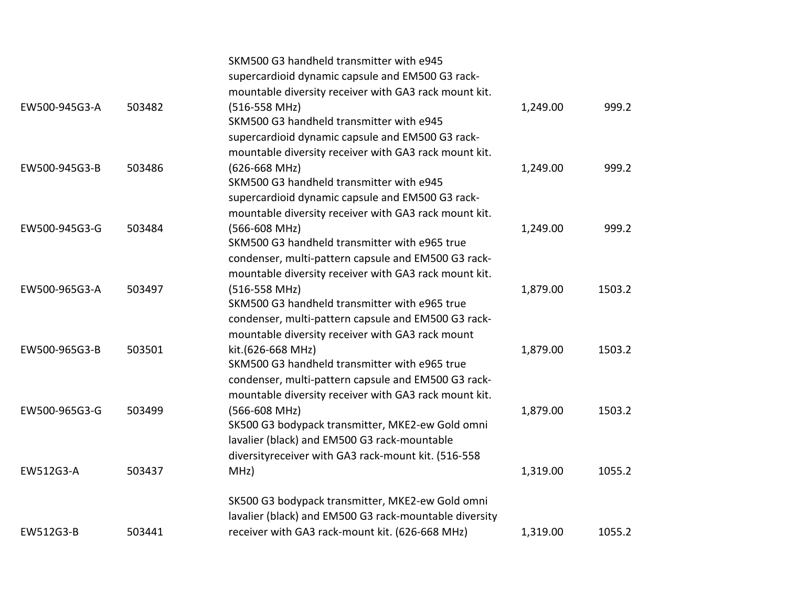|               |        | SKM500 G3 handheld transmitter with e945               |          |        |
|---------------|--------|--------------------------------------------------------|----------|--------|
|               |        | supercardioid dynamic capsule and EM500 G3 rack-       |          |        |
|               |        | mountable diversity receiver with GA3 rack mount kit.  |          |        |
| EW500-945G3-A | 503482 | $(516 - 558$ MHz)                                      | 1,249.00 | 999.2  |
|               |        | SKM500 G3 handheld transmitter with e945               |          |        |
|               |        | supercardioid dynamic capsule and EM500 G3 rack-       |          |        |
|               |        | mountable diversity receiver with GA3 rack mount kit.  |          |        |
| EW500-945G3-B | 503486 | $(626 - 668$ MHz)                                      | 1,249.00 | 999.2  |
|               |        | SKM500 G3 handheld transmitter with e945               |          |        |
|               |        | supercardioid dynamic capsule and EM500 G3 rack-       |          |        |
|               |        | mountable diversity receiver with GA3 rack mount kit.  |          |        |
| EW500-945G3-G | 503484 | (566-608 MHz)                                          | 1,249.00 | 999.2  |
|               |        | SKM500 G3 handheld transmitter with e965 true          |          |        |
|               |        | condenser, multi-pattern capsule and EM500 G3 rack-    |          |        |
|               |        | mountable diversity receiver with GA3 rack mount kit.  |          |        |
| EW500-965G3-A | 503497 | (516-558 MHz)                                          | 1,879.00 | 1503.2 |
|               |        | SKM500 G3 handheld transmitter with e965 true          |          |        |
|               |        | condenser, multi-pattern capsule and EM500 G3 rack-    |          |        |
|               |        | mountable diversity receiver with GA3 rack mount       |          |        |
| EW500-965G3-B | 503501 | kit.(626-668 MHz)                                      | 1,879.00 | 1503.2 |
|               |        | SKM500 G3 handheld transmitter with e965 true          |          |        |
|               |        | condenser, multi-pattern capsule and EM500 G3 rack-    |          |        |
|               |        | mountable diversity receiver with GA3 rack mount kit.  |          |        |
| EW500-965G3-G | 503499 | (566-608 MHz)                                          | 1,879.00 | 1503.2 |
|               |        | SK500 G3 bodypack transmitter, MKE2-ew Gold omni       |          |        |
|               |        | lavalier (black) and EM500 G3 rack-mountable           |          |        |
|               |        | diversityreceiver with GA3 rack-mount kit. (516-558    |          |        |
| EW512G3-A     | 503437 | MHz)                                                   | 1,319.00 | 1055.2 |
|               |        | SK500 G3 bodypack transmitter, MKE2-ew Gold omni       |          |        |
|               |        | lavalier (black) and EM500 G3 rack-mountable diversity |          |        |
| EW512G3-B     | 503441 | receiver with GA3 rack-mount kit. (626-668 MHz)        | 1,319.00 | 1055.2 |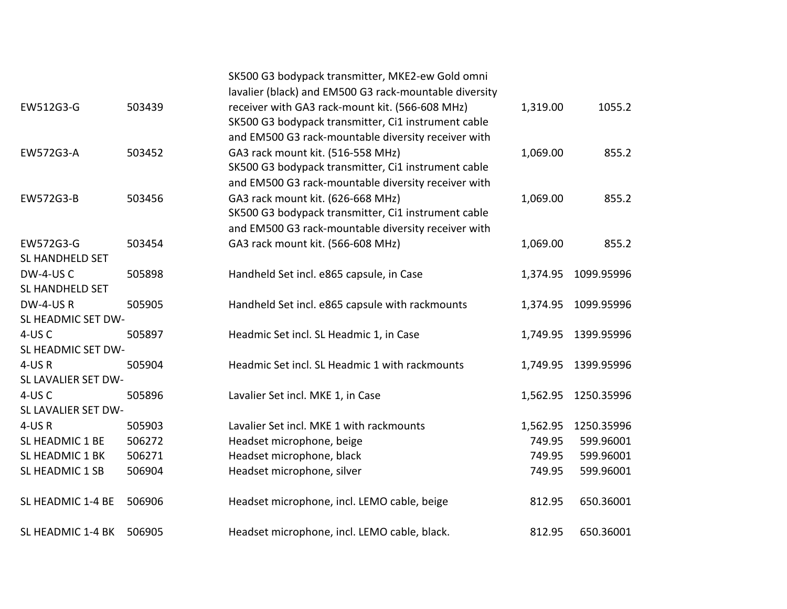|                        |        | SK500 G3 bodypack transmitter, MKE2-ew Gold omni<br>lavalier (black) and EM500 G3 rack-mountable diversity |          |            |
|------------------------|--------|------------------------------------------------------------------------------------------------------------|----------|------------|
| EW512G3-G              | 503439 | receiver with GA3 rack-mount kit. (566-608 MHz)                                                            | 1,319.00 | 1055.2     |
|                        |        | SK500 G3 bodypack transmitter, Ci1 instrument cable                                                        |          |            |
|                        |        | and EM500 G3 rack-mountable diversity receiver with                                                        |          |            |
| EW572G3-A              | 503452 | GA3 rack mount kit. (516-558 MHz)                                                                          | 1,069.00 | 855.2      |
|                        |        | SK500 G3 bodypack transmitter, Ci1 instrument cable                                                        |          |            |
|                        |        | and EM500 G3 rack-mountable diversity receiver with                                                        |          |            |
| EW572G3-B              | 503456 | GA3 rack mount kit. (626-668 MHz)                                                                          | 1,069.00 | 855.2      |
|                        |        | SK500 G3 bodypack transmitter, Ci1 instrument cable                                                        |          |            |
|                        |        | and EM500 G3 rack-mountable diversity receiver with                                                        |          |            |
| EW572G3-G              | 503454 | GA3 rack mount kit. (566-608 MHz)                                                                          | 1,069.00 | 855.2      |
| <b>SL HANDHELD SET</b> |        |                                                                                                            |          |            |
| DW-4-USC               | 505898 | Handheld Set incl. e865 capsule, in Case                                                                   | 1,374.95 | 1099.95996 |
| SL HANDHELD SET        |        |                                                                                                            |          |            |
| DW-4-USR               | 505905 | Handheld Set incl. e865 capsule with rackmounts                                                            | 1,374.95 | 1099.95996 |
| SL HEADMIC SET DW-     |        |                                                                                                            |          |            |
| 4-USC                  | 505897 | Headmic Set incl. SL Headmic 1, in Case                                                                    | 1,749.95 | 1399.95996 |
| SL HEADMIC SET DW-     |        |                                                                                                            |          |            |
| 4-USR                  | 505904 | Headmic Set incl. SL Headmic 1 with rackmounts                                                             | 1,749.95 | 1399.95996 |
| SL LAVALIER SET DW-    |        |                                                                                                            |          |            |
| 4-USC                  | 505896 | Lavalier Set incl. MKE 1, in Case                                                                          | 1,562.95 | 1250.35996 |
| SL LAVALIER SET DW-    |        |                                                                                                            |          |            |
| $4$ -US $R$            | 505903 | Lavalier Set incl. MKE 1 with rackmounts                                                                   | 1,562.95 | 1250.35996 |
| SL HEADMIC 1 BE        | 506272 | Headset microphone, beige                                                                                  | 749.95   | 599.96001  |
| SL HEADMIC 1 BK        | 506271 | Headset microphone, black                                                                                  | 749.95   | 599.96001  |
| SL HEADMIC 1 SB        | 506904 | Headset microphone, silver                                                                                 | 749.95   | 599.96001  |
| SL HEADMIC 1-4 BE      | 506906 | Headset microphone, incl. LEMO cable, beige                                                                | 812.95   | 650.36001  |
| SL HEADMIC 1-4 BK      | 506905 | Headset microphone, incl. LEMO cable, black.                                                               | 812.95   | 650.36001  |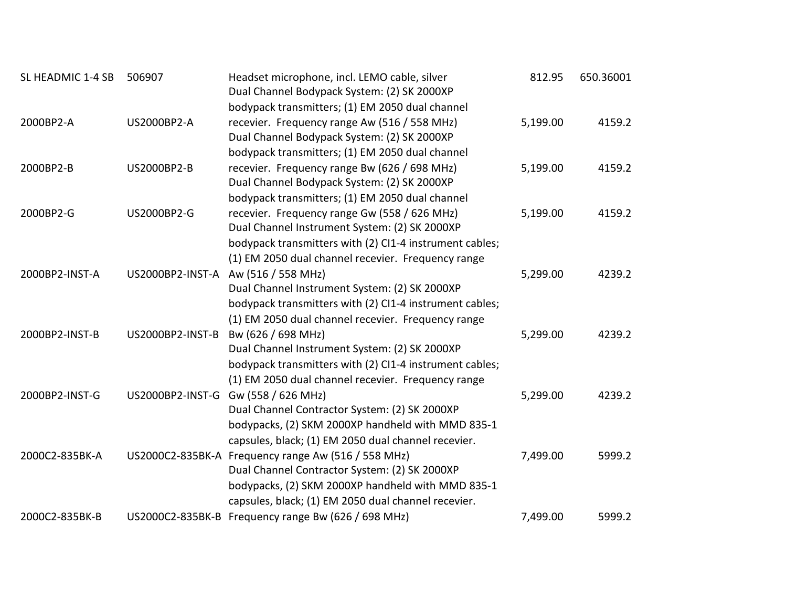| SL HEADMIC 1-4 SB | 506907             | Headset microphone, incl. LEMO cable, silver            | 812.95   | 650.36001 |
|-------------------|--------------------|---------------------------------------------------------|----------|-----------|
|                   |                    | Dual Channel Bodypack System: (2) SK 2000XP             |          |           |
|                   |                    | bodypack transmitters; (1) EM 2050 dual channel         |          |           |
| 2000BP2-A         | <b>US2000BP2-A</b> | recevier. Frequency range Aw (516 / 558 MHz)            | 5,199.00 | 4159.2    |
|                   |                    | Dual Channel Bodypack System: (2) SK 2000XP             |          |           |
|                   |                    | bodypack transmitters; (1) EM 2050 dual channel         |          |           |
| 2000BP2-B         | <b>US2000BP2-B</b> | recevier. Frequency range Bw (626 / 698 MHz)            | 5,199.00 | 4159.2    |
|                   |                    | Dual Channel Bodypack System: (2) SK 2000XP             |          |           |
|                   |                    | bodypack transmitters; (1) EM 2050 dual channel         |          |           |
| 2000BP2-G         | US2000BP2-G        | recevier. Frequency range Gw (558 / 626 MHz)            | 5,199.00 | 4159.2    |
|                   |                    | Dual Channel Instrument System: (2) SK 2000XP           |          |           |
|                   |                    | bodypack transmitters with (2) CI1-4 instrument cables; |          |           |
|                   |                    | (1) EM 2050 dual channel recevier. Frequency range      |          |           |
| 2000BP2-INST-A    |                    | US2000BP2-INST-A Aw (516 / 558 MHz)                     | 5,299.00 | 4239.2    |
|                   |                    | Dual Channel Instrument System: (2) SK 2000XP           |          |           |
|                   |                    | bodypack transmitters with (2) CI1-4 instrument cables; |          |           |
|                   |                    | (1) EM 2050 dual channel recevier. Frequency range      |          |           |
| 2000BP2-INST-B    | US2000BP2-INST-B   | Bw (626 / 698 MHz)                                      | 5,299.00 | 4239.2    |
|                   |                    | Dual Channel Instrument System: (2) SK 2000XP           |          |           |
|                   |                    | bodypack transmitters with (2) CI1-4 instrument cables; |          |           |
|                   |                    | (1) EM 2050 dual channel recevier. Frequency range      |          |           |
| 2000BP2-INST-G    |                    | US2000BP2-INST-G Gw (558 / 626 MHz)                     | 5,299.00 | 4239.2    |
|                   |                    | Dual Channel Contractor System: (2) SK 2000XP           |          |           |
|                   |                    | bodypacks, (2) SKM 2000XP handheld with MMD 835-1       |          |           |
|                   |                    | capsules, black; (1) EM 2050 dual channel recevier.     |          |           |
| 2000C2-835BK-A    |                    | US2000C2-835BK-A Frequency range Aw (516 / 558 MHz)     | 7,499.00 | 5999.2    |
|                   |                    | Dual Channel Contractor System: (2) SK 2000XP           |          |           |
|                   |                    | bodypacks, (2) SKM 2000XP handheld with MMD 835-1       |          |           |
|                   |                    | capsules, black; (1) EM 2050 dual channel recevier.     |          |           |
| 2000C2-835BK-B    |                    | US2000C2-835BK-B Frequency range Bw (626 / 698 MHz)     | 7,499.00 | 5999.2    |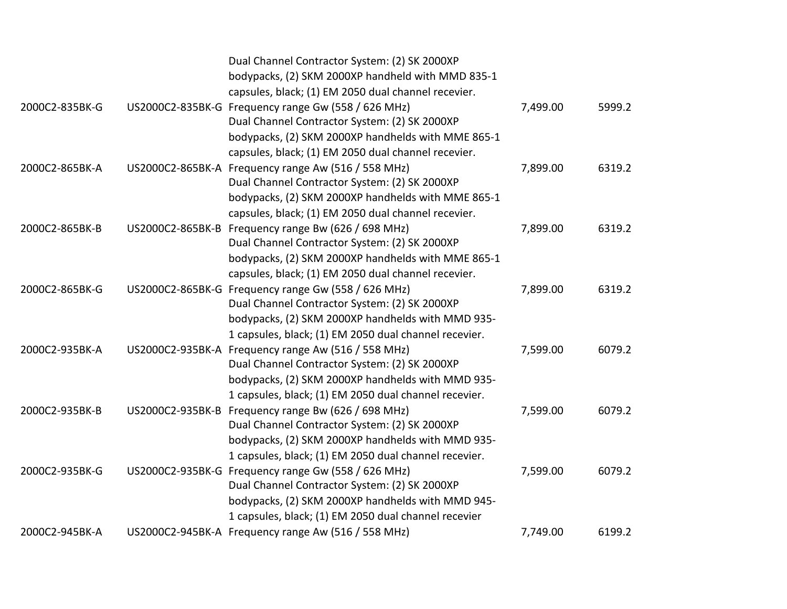|                | Dual Channel Contractor System: (2) SK 2000XP         |          |        |
|----------------|-------------------------------------------------------|----------|--------|
|                | bodypacks, (2) SKM 2000XP handheld with MMD 835-1     |          |        |
|                | capsules, black; (1) EM 2050 dual channel recevier.   |          |        |
| 2000C2-835BK-G | US2000C2-835BK-G Frequency range Gw (558 / 626 MHz)   | 7,499.00 | 5999.2 |
|                | Dual Channel Contractor System: (2) SK 2000XP         |          |        |
|                | bodypacks, (2) SKM 2000XP handhelds with MME 865-1    |          |        |
|                | capsules, black; (1) EM 2050 dual channel recevier.   |          |        |
| 2000C2-865BK-A | US2000C2-865BK-A Frequency range Aw (516 / 558 MHz)   | 7,899.00 | 6319.2 |
|                | Dual Channel Contractor System: (2) SK 2000XP         |          |        |
|                | bodypacks, (2) SKM 2000XP handhelds with MME 865-1    |          |        |
|                | capsules, black; (1) EM 2050 dual channel recevier.   |          |        |
| 2000C2-865BK-B | US2000C2-865BK-B Frequency range Bw (626 / 698 MHz)   | 7,899.00 | 6319.2 |
|                | Dual Channel Contractor System: (2) SK 2000XP         |          |        |
|                | bodypacks, (2) SKM 2000XP handhelds with MME 865-1    |          |        |
|                | capsules, black; (1) EM 2050 dual channel recevier.   |          |        |
| 2000C2-865BK-G | US2000C2-865BK-G Frequency range Gw (558 / 626 MHz)   | 7,899.00 | 6319.2 |
|                | Dual Channel Contractor System: (2) SK 2000XP         |          |        |
|                | bodypacks, (2) SKM 2000XP handhelds with MMD 935-     |          |        |
|                | 1 capsules, black; (1) EM 2050 dual channel recevier. |          |        |
| 2000C2-935BK-A | US2000C2-935BK-A Frequency range Aw (516 / 558 MHz)   | 7,599.00 | 6079.2 |
|                | Dual Channel Contractor System: (2) SK 2000XP         |          |        |
|                | bodypacks, (2) SKM 2000XP handhelds with MMD 935-     |          |        |
|                | 1 capsules, black; (1) EM 2050 dual channel recevier. |          |        |
| 2000C2-935BK-B | US2000C2-935BK-B Frequency range Bw (626 / 698 MHz)   | 7,599.00 | 6079.2 |
|                | Dual Channel Contractor System: (2) SK 2000XP         |          |        |
|                | bodypacks, (2) SKM 2000XP handhelds with MMD 935-     |          |        |
|                | 1 capsules, black; (1) EM 2050 dual channel recevier. |          |        |
| 2000C2-935BK-G | US2000C2-935BK-G Frequency range Gw (558 / 626 MHz)   | 7,599.00 | 6079.2 |
|                | Dual Channel Contractor System: (2) SK 2000XP         |          |        |
|                | bodypacks, (2) SKM 2000XP handhelds with MMD 945-     |          |        |
|                | 1 capsules, black; (1) EM 2050 dual channel recevier  |          |        |
| 2000C2-945BK-A | US2000C2-945BK-A Frequency range Aw (516 / 558 MHz)   | 7,749.00 | 6199.2 |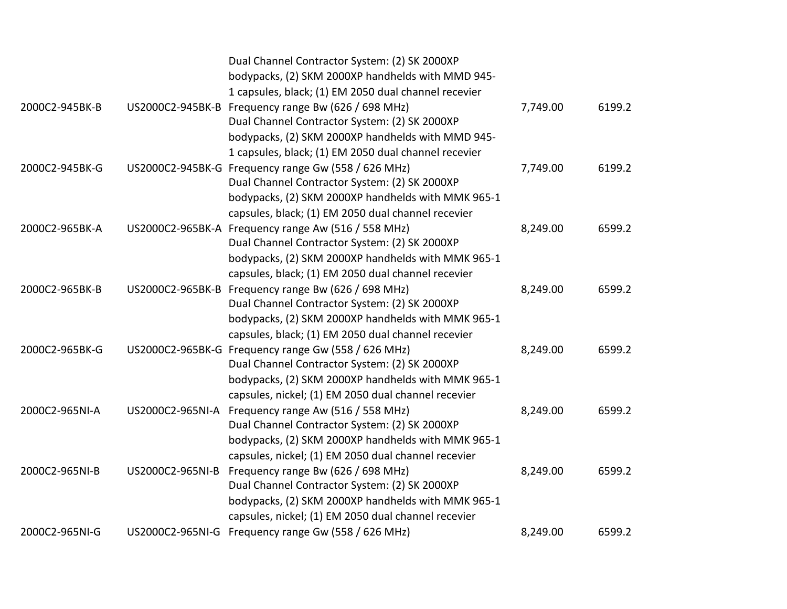|                |                  | Dual Channel Contractor System: (2) SK 2000XP        |          |        |
|----------------|------------------|------------------------------------------------------|----------|--------|
|                |                  | bodypacks, (2) SKM 2000XP handhelds with MMD 945-    |          |        |
|                |                  | 1 capsules, black; (1) EM 2050 dual channel recevier |          |        |
| 2000C2-945BK-B | US2000C2-945BK-B | Frequency range Bw (626 / 698 MHz)                   | 7,749.00 | 6199.2 |
|                |                  | Dual Channel Contractor System: (2) SK 2000XP        |          |        |
|                |                  | bodypacks, (2) SKM 2000XP handhelds with MMD 945-    |          |        |
|                |                  | 1 capsules, black; (1) EM 2050 dual channel recevier |          |        |
| 2000C2-945BK-G |                  | US2000C2-945BK-G Frequency range Gw (558 / 626 MHz)  | 7,749.00 | 6199.2 |
|                |                  | Dual Channel Contractor System: (2) SK 2000XP        |          |        |
|                |                  | bodypacks, (2) SKM 2000XP handhelds with MMK 965-1   |          |        |
|                |                  | capsules, black; (1) EM 2050 dual channel recevier   |          |        |
| 2000C2-965BK-A |                  | US2000C2-965BK-A Frequency range Aw (516 / 558 MHz)  | 8,249.00 | 6599.2 |
|                |                  | Dual Channel Contractor System: (2) SK 2000XP        |          |        |
|                |                  | bodypacks, (2) SKM 2000XP handhelds with MMK 965-1   |          |        |
|                |                  | capsules, black; (1) EM 2050 dual channel recevier   |          |        |
| 2000C2-965BK-B | US2000C2-965BK-B | Frequency range Bw (626 / 698 MHz)                   | 8,249.00 | 6599.2 |
|                |                  | Dual Channel Contractor System: (2) SK 2000XP        |          |        |
|                |                  | bodypacks, (2) SKM 2000XP handhelds with MMK 965-1   |          |        |
|                |                  | capsules, black; (1) EM 2050 dual channel recevier   |          |        |
| 2000C2-965BK-G |                  | US2000C2-965BK-G Frequency range Gw (558 / 626 MHz)  | 8,249.00 | 6599.2 |
|                |                  | Dual Channel Contractor System: (2) SK 2000XP        |          |        |
|                |                  | bodypacks, (2) SKM 2000XP handhelds with MMK 965-1   |          |        |
|                |                  | capsules, nickel; (1) EM 2050 dual channel recevier  |          |        |
| 2000C2-965NI-A | US2000C2-965NI-A | Frequency range Aw (516 / 558 MHz)                   | 8,249.00 | 6599.2 |
|                |                  | Dual Channel Contractor System: (2) SK 2000XP        |          |        |
|                |                  | bodypacks, (2) SKM 2000XP handhelds with MMK 965-1   |          |        |
|                |                  | capsules, nickel; (1) EM 2050 dual channel recevier  |          |        |
| 2000C2-965NI-B | US2000C2-965NI-B | Frequency range Bw (626 / 698 MHz)                   | 8,249.00 | 6599.2 |
|                |                  | Dual Channel Contractor System: (2) SK 2000XP        |          |        |
|                |                  | bodypacks, (2) SKM 2000XP handhelds with MMK 965-1   |          |        |
|                |                  | capsules, nickel; (1) EM 2050 dual channel recevier  |          |        |
| 2000C2-965NI-G | US2000C2-965NI-G | Frequency range Gw (558 / 626 MHz)                   | 8,249.00 | 6599.2 |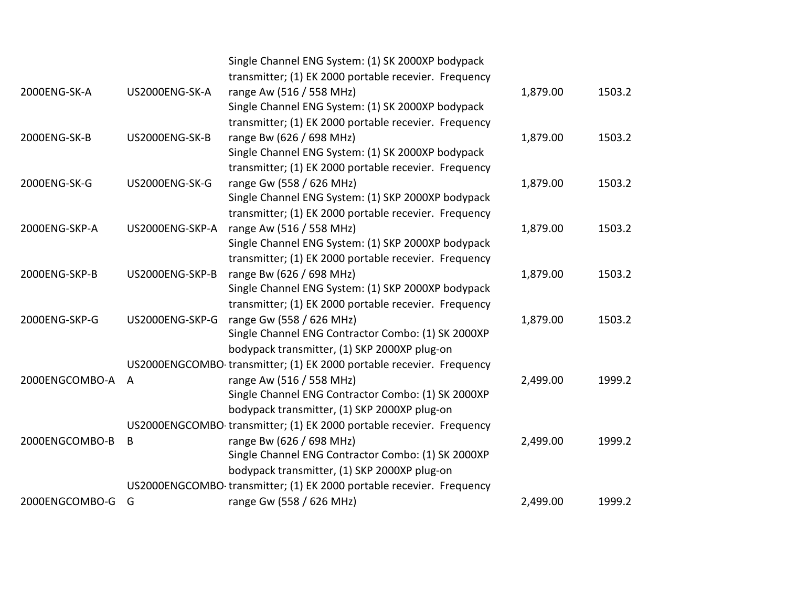|                |                 | Single Channel ENG System: (1) SK 2000XP bodypack                    |          |        |
|----------------|-----------------|----------------------------------------------------------------------|----------|--------|
|                |                 | transmitter; (1) EK 2000 portable recevier. Frequency                |          |        |
| 2000ENG-SK-A   | US2000ENG-SK-A  | range Aw (516 / 558 MHz)                                             | 1,879.00 | 1503.2 |
|                |                 | Single Channel ENG System: (1) SK 2000XP bodypack                    |          |        |
|                |                 | transmitter; (1) EK 2000 portable recevier. Frequency                |          |        |
| 2000ENG-SK-B   | US2000ENG-SK-B  | range Bw (626 / 698 MHz)                                             | 1,879.00 | 1503.2 |
|                |                 | Single Channel ENG System: (1) SK 2000XP bodypack                    |          |        |
|                |                 | transmitter; (1) EK 2000 portable recevier. Frequency                |          |        |
| 2000ENG-SK-G   | US2000ENG-SK-G  | range Gw (558 / 626 MHz)                                             | 1,879.00 | 1503.2 |
|                |                 | Single Channel ENG System: (1) SKP 2000XP bodypack                   |          |        |
|                |                 | transmitter; (1) EK 2000 portable recevier. Frequency                |          |        |
| 2000ENG-SKP-A  | US2000ENG-SKP-A | range Aw (516 / 558 MHz)                                             | 1,879.00 | 1503.2 |
|                |                 | Single Channel ENG System: (1) SKP 2000XP bodypack                   |          |        |
|                |                 | transmitter; (1) EK 2000 portable recevier. Frequency                |          |        |
| 2000ENG-SKP-B  | US2000ENG-SKP-B | range Bw (626 / 698 MHz)                                             | 1,879.00 | 1503.2 |
|                |                 | Single Channel ENG System: (1) SKP 2000XP bodypack                   |          |        |
|                |                 | transmitter; (1) EK 2000 portable recevier. Frequency                |          |        |
| 2000ENG-SKP-G  | US2000ENG-SKP-G | range Gw (558 / 626 MHz)                                             | 1,879.00 | 1503.2 |
|                |                 | Single Channel ENG Contractor Combo: (1) SK 2000XP                   |          |        |
|                |                 | bodypack transmitter, (1) SKP 2000XP plug-on                         |          |        |
|                |                 | US2000ENGCOMBO transmitter; (1) EK 2000 portable recevier. Frequency |          |        |
| 2000ENGCOMBO-A | $\overline{A}$  | range Aw (516 / 558 MHz)                                             | 2,499.00 | 1999.2 |
|                |                 | Single Channel ENG Contractor Combo: (1) SK 2000XP                   |          |        |
|                |                 | bodypack transmitter, (1) SKP 2000XP plug-on                         |          |        |
|                |                 | US2000ENGCOMBO transmitter; (1) EK 2000 portable recevier. Frequency |          |        |
| 2000ENGCOMBO-B | B               | range Bw (626 / 698 MHz)                                             | 2,499.00 | 1999.2 |
|                |                 | Single Channel ENG Contractor Combo: (1) SK 2000XP                   |          |        |
|                |                 | bodypack transmitter, (1) SKP 2000XP plug-on                         |          |        |
|                |                 | US2000ENGCOMBO transmitter; (1) EK 2000 portable recevier. Frequency |          |        |
| 2000ENGCOMBO-G | G               | range Gw (558 / 626 MHz)                                             | 2,499.00 | 1999.2 |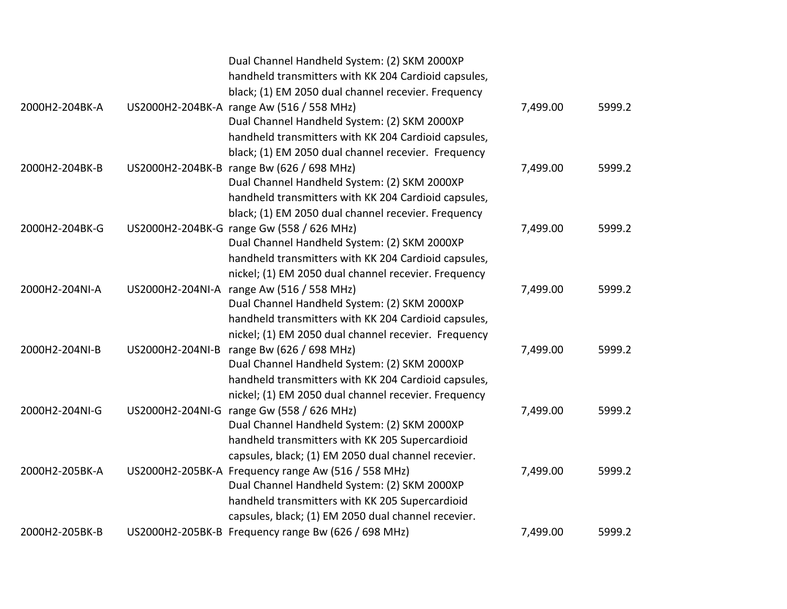|                |                  | Dual Channel Handheld System: (2) SKM 2000XP         |          |        |
|----------------|------------------|------------------------------------------------------|----------|--------|
|                |                  | handheld transmitters with KK 204 Cardioid capsules, |          |        |
|                |                  | black; (1) EM 2050 dual channel recevier. Frequency  |          |        |
| 2000H2-204BK-A |                  | US2000H2-204BK-A range Aw (516 / 558 MHz)            | 7,499.00 | 5999.2 |
|                |                  | Dual Channel Handheld System: (2) SKM 2000XP         |          |        |
|                |                  | handheld transmitters with KK 204 Cardioid capsules, |          |        |
|                |                  | black; (1) EM 2050 dual channel recevier. Frequency  |          |        |
| 2000H2-204BK-B |                  | US2000H2-204BK-B range Bw (626 / 698 MHz)            | 7,499.00 | 5999.2 |
|                |                  | Dual Channel Handheld System: (2) SKM 2000XP         |          |        |
|                |                  | handheld transmitters with KK 204 Cardioid capsules, |          |        |
|                |                  | black; (1) EM 2050 dual channel recevier. Frequency  |          |        |
| 2000H2-204BK-G |                  | US2000H2-204BK-G range Gw (558 / 626 MHz)            | 7,499.00 | 5999.2 |
|                |                  | Dual Channel Handheld System: (2) SKM 2000XP         |          |        |
|                |                  | handheld transmitters with KK 204 Cardioid capsules, |          |        |
|                |                  | nickel; (1) EM 2050 dual channel recevier. Frequency |          |        |
| 2000H2-204NI-A | US2000H2-204NI-A | range Aw (516 / 558 MHz)                             | 7,499.00 | 5999.2 |
|                |                  | Dual Channel Handheld System: (2) SKM 2000XP         |          |        |
|                |                  | handheld transmitters with KK 204 Cardioid capsules, |          |        |
|                |                  | nickel; (1) EM 2050 dual channel recevier. Frequency |          |        |
| 2000H2-204NI-B |                  | US2000H2-204NI-B range Bw (626 / 698 MHz)            | 7,499.00 | 5999.2 |
|                |                  | Dual Channel Handheld System: (2) SKM 2000XP         |          |        |
|                |                  | handheld transmitters with KK 204 Cardioid capsules, |          |        |
|                |                  | nickel; (1) EM 2050 dual channel recevier. Frequency |          |        |
| 2000H2-204NI-G |                  | US2000H2-204NI-G range Gw (558 / 626 MHz)            | 7,499.00 | 5999.2 |
|                |                  | Dual Channel Handheld System: (2) SKM 2000XP         |          |        |
|                |                  | handheld transmitters with KK 205 Supercardioid      |          |        |
|                |                  | capsules, black; (1) EM 2050 dual channel recevier.  |          |        |
| 2000H2-205BK-A |                  | US2000H2-205BK-A Frequency range Aw (516 / 558 MHz)  | 7,499.00 | 5999.2 |
|                |                  | Dual Channel Handheld System: (2) SKM 2000XP         |          |        |
|                |                  | handheld transmitters with KK 205 Supercardioid      |          |        |
|                |                  | capsules, black; (1) EM 2050 dual channel recevier.  |          |        |
| 2000H2-205BK-B |                  | US2000H2-205BK-B Frequency range Bw (626 / 698 MHz)  | 7,499.00 | 5999.2 |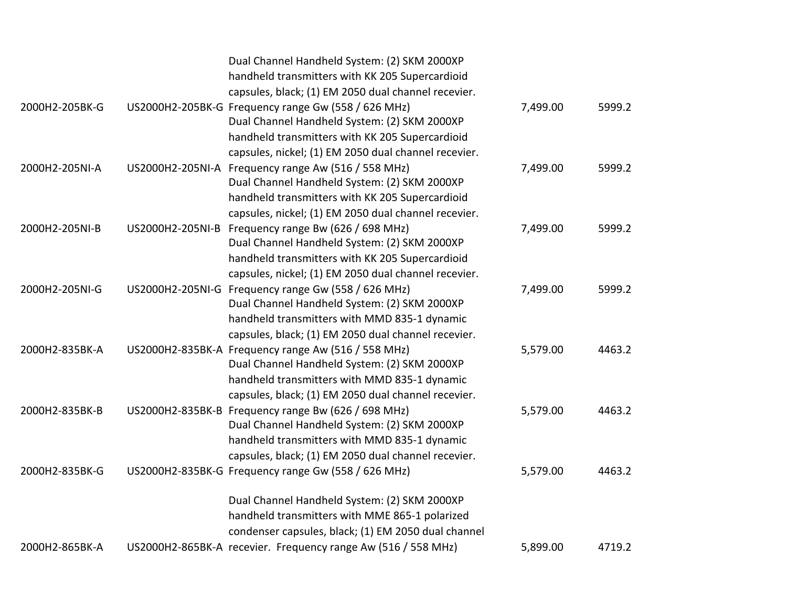|                |                  | Dual Channel Handheld System: (2) SKM 2000XP                  |          |        |
|----------------|------------------|---------------------------------------------------------------|----------|--------|
|                |                  | handheld transmitters with KK 205 Supercardioid               |          |        |
|                |                  | capsules, black; (1) EM 2050 dual channel recevier.           |          |        |
| 2000H2-205BK-G |                  | US2000H2-205BK-G Frequency range Gw (558 / 626 MHz)           | 7,499.00 | 5999.2 |
|                |                  | Dual Channel Handheld System: (2) SKM 2000XP                  |          |        |
|                |                  | handheld transmitters with KK 205 Supercardioid               |          |        |
|                |                  | capsules, nickel; (1) EM 2050 dual channel recevier.          |          |        |
| 2000H2-205NI-A |                  | US2000H2-205NI-A Frequency range Aw (516 / 558 MHz)           | 7,499.00 | 5999.2 |
|                |                  | Dual Channel Handheld System: (2) SKM 2000XP                  |          |        |
|                |                  | handheld transmitters with KK 205 Supercardioid               |          |        |
|                |                  | capsules, nickel; (1) EM 2050 dual channel recevier.          |          |        |
| 2000H2-205NI-B | US2000H2-205NI-B | Frequency range Bw (626 / 698 MHz)                            | 7,499.00 | 5999.2 |
|                |                  | Dual Channel Handheld System: (2) SKM 2000XP                  |          |        |
|                |                  | handheld transmitters with KK 205 Supercardioid               |          |        |
|                |                  | capsules, nickel; (1) EM 2050 dual channel recevier.          |          |        |
| 2000H2-205NI-G |                  | US2000H2-205NI-G Frequency range Gw (558 / 626 MHz)           | 7,499.00 | 5999.2 |
|                |                  | Dual Channel Handheld System: (2) SKM 2000XP                  |          |        |
|                |                  | handheld transmitters with MMD 835-1 dynamic                  |          |        |
|                |                  | capsules, black; (1) EM 2050 dual channel recevier.           |          |        |
| 2000H2-835BK-A |                  | US2000H2-835BK-A Frequency range Aw (516 / 558 MHz)           | 5,579.00 | 4463.2 |
|                |                  | Dual Channel Handheld System: (2) SKM 2000XP                  |          |        |
|                |                  | handheld transmitters with MMD 835-1 dynamic                  |          |        |
|                |                  | capsules, black; (1) EM 2050 dual channel recevier.           |          |        |
| 2000H2-835BK-B |                  | US2000H2-835BK-B Frequency range Bw (626 / 698 MHz)           | 5,579.00 | 4463.2 |
|                |                  | Dual Channel Handheld System: (2) SKM 2000XP                  |          |        |
|                |                  | handheld transmitters with MMD 835-1 dynamic                  |          |        |
|                |                  | capsules, black; (1) EM 2050 dual channel recevier.           |          |        |
| 2000H2-835BK-G |                  | US2000H2-835BK-G Frequency range Gw (558 / 626 MHz)           | 5,579.00 | 4463.2 |
|                |                  | Dual Channel Handheld System: (2) SKM 2000XP                  |          |        |
|                |                  | handheld transmitters with MME 865-1 polarized                |          |        |
|                |                  | condenser capsules, black; (1) EM 2050 dual channel           |          |        |
| 2000H2-865BK-A |                  | US2000H2-865BK-A recevier. Frequency range Aw (516 / 558 MHz) | 5,899.00 | 4719.2 |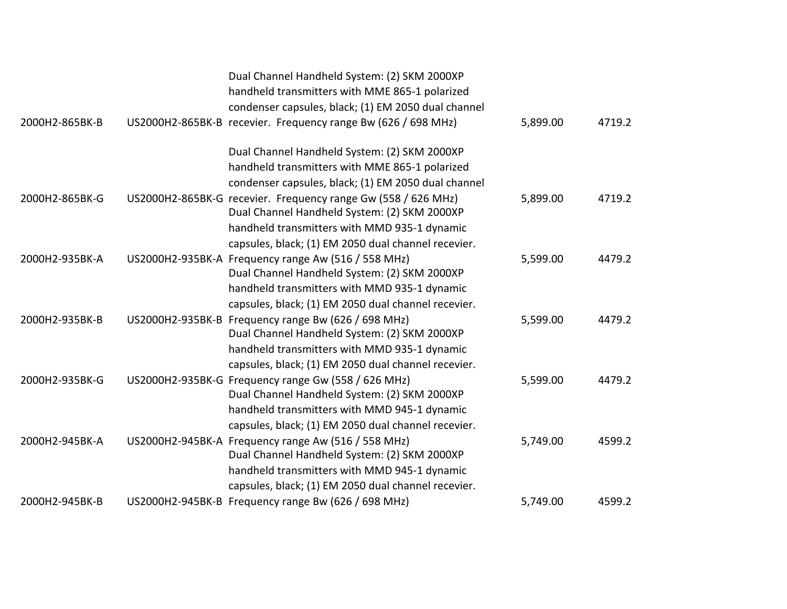|                | Dual Channel Handheld System: (2) SKM 2000XP<br>handheld transmitters with MME 865-1 polarized<br>condenser capsules, black; (1) EM 2050 dual channel                                                                                                             |          |        |
|----------------|-------------------------------------------------------------------------------------------------------------------------------------------------------------------------------------------------------------------------------------------------------------------|----------|--------|
| 2000H2-865BK-B | US2000H2-865BK-B recevier. Frequency range Bw (626 / 698 MHz)                                                                                                                                                                                                     | 5,899.00 | 4719.2 |
|                | Dual Channel Handheld System: (2) SKM 2000XP<br>handheld transmitters with MME 865-1 polarized<br>condenser capsules, black; (1) EM 2050 dual channel                                                                                                             |          |        |
| 2000H2-865BK-G | US2000H2-865BK-G recevier. Frequency range Gw (558 / 626 MHz)<br>Dual Channel Handheld System: (2) SKM 2000XP<br>handheld transmitters with MMD 935-1 dynamic<br>capsules, black; (1) EM 2050 dual channel recevier.                                              | 5,899.00 | 4719.2 |
| 2000H2-935BK-A | US2000H2-935BK-A Frequency range Aw (516 / 558 MHz)<br>Dual Channel Handheld System: (2) SKM 2000XP<br>handheld transmitters with MMD 935-1 dynamic                                                                                                               | 5,599.00 | 4479.2 |
| 2000H2-935BK-B | capsules, black; (1) EM 2050 dual channel recevier.<br>US2000H2-935BK-B Frequency range Bw (626 / 698 MHz)<br>Dual Channel Handheld System: (2) SKM 2000XP<br>handheld transmitters with MMD 935-1 dynamic<br>capsules, black; (1) EM 2050 dual channel recevier. | 5,599.00 | 4479.2 |
| 2000H2-935BK-G | US2000H2-935BK-G Frequency range Gw (558 / 626 MHz)<br>Dual Channel Handheld System: (2) SKM 2000XP<br>handheld transmitters with MMD 945-1 dynamic<br>capsules, black; (1) EM 2050 dual channel recevier.                                                        | 5,599.00 | 4479.2 |
| 2000H2-945BK-A | US2000H2-945BK-A Frequency range Aw (516 / 558 MHz)<br>Dual Channel Handheld System: (2) SKM 2000XP<br>handheld transmitters with MMD 945-1 dynamic<br>capsules, black; (1) EM 2050 dual channel recevier.                                                        | 5,749.00 | 4599.2 |
| 2000H2-945BK-B | US2000H2-945BK-B Frequency range Bw (626 / 698 MHz)                                                                                                                                                                                                               | 5,749.00 | 4599.2 |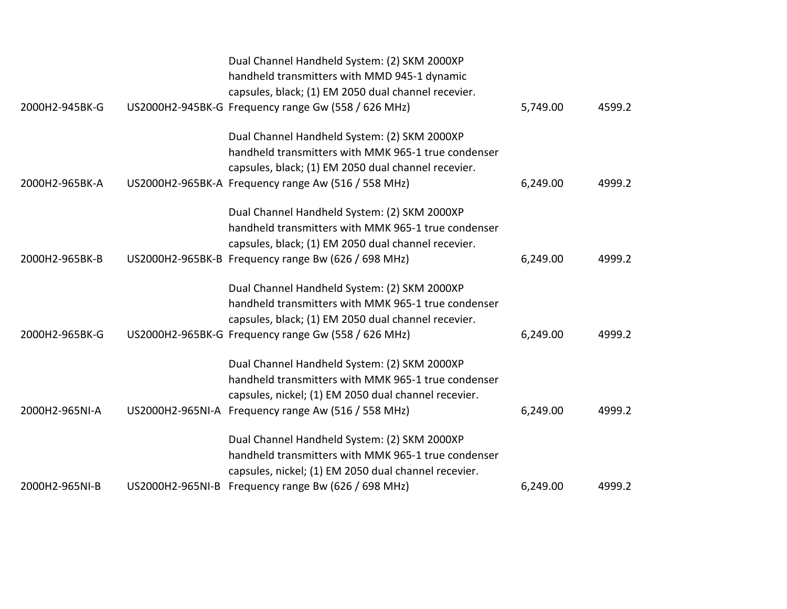|                | Dual Channel Handheld System: (2) SKM 2000XP<br>handheld transmitters with MMD 945-1 dynamic<br>capsules, black; (1) EM 2050 dual channel recevier.                                                                |          |        |
|----------------|--------------------------------------------------------------------------------------------------------------------------------------------------------------------------------------------------------------------|----------|--------|
| 2000H2-945BK-G | US2000H2-945BK-G Frequency range Gw (558 / 626 MHz)                                                                                                                                                                | 5,749.00 | 4599.2 |
| 2000H2-965BK-A | Dual Channel Handheld System: (2) SKM 2000XP<br>handheld transmitters with MMK 965-1 true condenser<br>capsules, black; (1) EM 2050 dual channel recevier.<br>US2000H2-965BK-A Frequency range Aw (516 / 558 MHz)  | 6,249.00 | 4999.2 |
| 2000H2-965BK-B | Dual Channel Handheld System: (2) SKM 2000XP<br>handheld transmitters with MMK 965-1 true condenser<br>capsules, black; (1) EM 2050 dual channel recevier.<br>US2000H2-965BK-B Frequency range Bw (626 / 698 MHz)  | 6,249.00 | 4999.2 |
| 2000H2-965BK-G | Dual Channel Handheld System: (2) SKM 2000XP<br>handheld transmitters with MMK 965-1 true condenser<br>capsules, black; (1) EM 2050 dual channel recevier.<br>US2000H2-965BK-G Frequency range Gw (558 / 626 MHz)  | 6,249.00 | 4999.2 |
| 2000H2-965NI-A | Dual Channel Handheld System: (2) SKM 2000XP<br>handheld transmitters with MMK 965-1 true condenser<br>capsules, nickel; (1) EM 2050 dual channel recevier.<br>US2000H2-965NI-A Frequency range Aw (516 / 558 MHz) | 6,249.00 | 4999.2 |
| 2000H2-965NI-B | Dual Channel Handheld System: (2) SKM 2000XP<br>handheld transmitters with MMK 965-1 true condenser<br>capsules, nickel; (1) EM 2050 dual channel recevier.<br>US2000H2-965NI-B Frequency range Bw (626 / 698 MHz) | 6,249.00 | 4999.2 |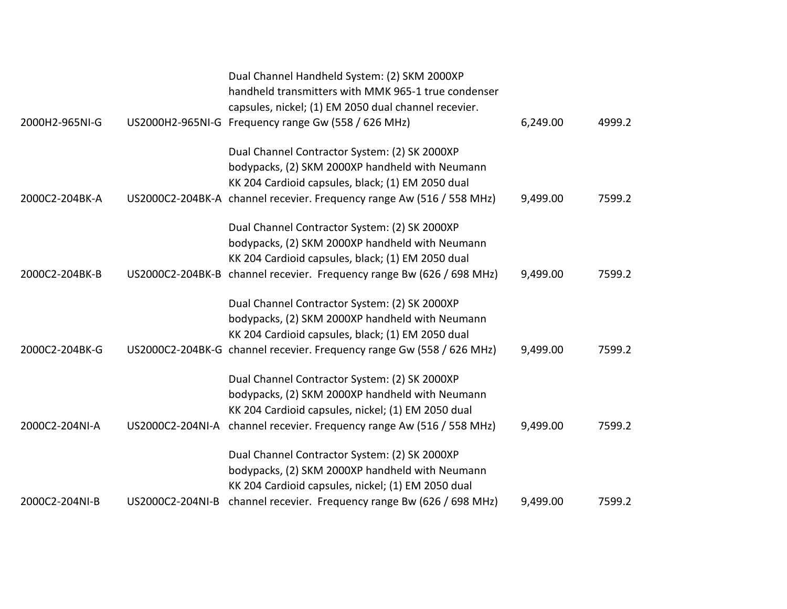|                |                  | Dual Channel Handheld System: (2) SKM 2000XP<br>handheld transmitters with MMK 965-1 true condenser<br>capsules, nickel; (1) EM 2050 dual channel recevier. |          |        |
|----------------|------------------|-------------------------------------------------------------------------------------------------------------------------------------------------------------|----------|--------|
| 2000H2-965NI-G |                  | US2000H2-965NI-G Frequency range Gw (558 / 626 MHz)                                                                                                         | 6,249.00 | 4999.2 |
|                |                  | Dual Channel Contractor System: (2) SK 2000XP<br>bodypacks, (2) SKM 2000XP handheld with Neumann<br>KK 204 Cardioid capsules, black; (1) EM 2050 dual       |          |        |
| 2000C2-204BK-A |                  | US2000C2-204BK-A channel recevier. Frequency range Aw (516 / 558 MHz)                                                                                       | 9,499.00 | 7599.2 |
|                |                  | Dual Channel Contractor System: (2) SK 2000XP<br>bodypacks, (2) SKM 2000XP handheld with Neumann<br>KK 204 Cardioid capsules, black; (1) EM 2050 dual       |          |        |
| 2000C2-204BK-B |                  | US2000C2-204BK-B channel recevier. Frequency range Bw (626 / 698 MHz)                                                                                       | 9,499.00 | 7599.2 |
|                |                  | Dual Channel Contractor System: (2) SK 2000XP<br>bodypacks, (2) SKM 2000XP handheld with Neumann<br>KK 204 Cardioid capsules, black; (1) EM 2050 dual       |          |        |
| 2000C2-204BK-G |                  | US2000C2-204BK-G channel recevier. Frequency range Gw (558 / 626 MHz)                                                                                       | 9,499.00 | 7599.2 |
|                |                  | Dual Channel Contractor System: (2) SK 2000XP<br>bodypacks, (2) SKM 2000XP handheld with Neumann<br>KK 204 Cardioid capsules, nickel; (1) EM 2050 dual      |          |        |
| 2000C2-204NI-A | US2000C2-204NI-A | channel recevier. Frequency range Aw (516 / 558 MHz)                                                                                                        | 9,499.00 | 7599.2 |
|                |                  | Dual Channel Contractor System: (2) SK 2000XP<br>bodypacks, (2) SKM 2000XP handheld with Neumann<br>KK 204 Cardioid capsules, nickel; (1) EM 2050 dual      |          |        |
| 2000C2-204NI-B | US2000C2-204NI-B | channel recevier. Frequency range Bw (626 / 698 MHz)                                                                                                        | 9,499.00 | 7599.2 |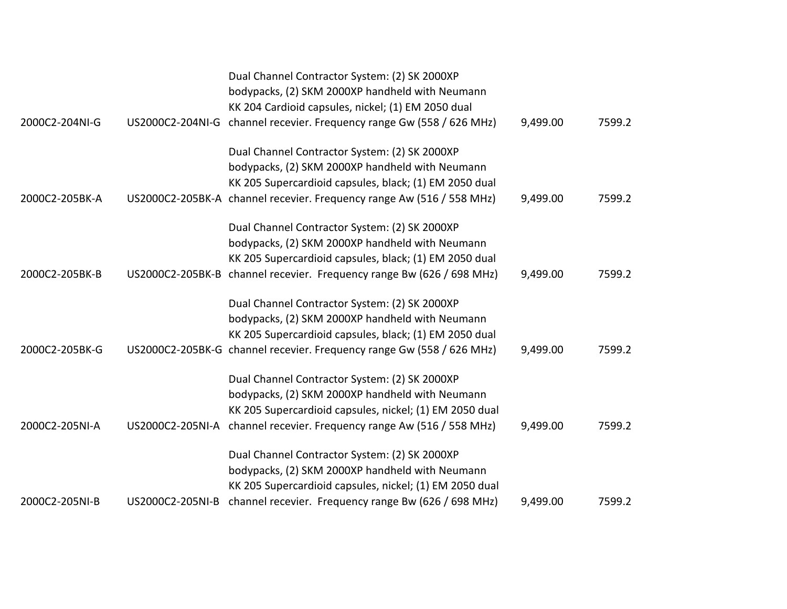|                |                  | Dual Channel Contractor System: (2) SK 2000XP<br>bodypacks, (2) SKM 2000XP handheld with Neumann<br>KK 204 Cardioid capsules, nickel; (1) EM 2050 dual                                                                              |          |        |
|----------------|------------------|-------------------------------------------------------------------------------------------------------------------------------------------------------------------------------------------------------------------------------------|----------|--------|
| 2000C2-204NI-G | US2000C2-204NI-G | channel recevier. Frequency range Gw (558 / 626 MHz)                                                                                                                                                                                | 9,499.00 | 7599.2 |
| 2000C2-205BK-A |                  | Dual Channel Contractor System: (2) SK 2000XP<br>bodypacks, (2) SKM 2000XP handheld with Neumann<br>KK 205 Supercardioid capsules, black; (1) EM 2050 dual<br>US2000C2-205BK-A channel recevier. Frequency range Aw (516 / 558 MHz) | 9,499.00 | 7599.2 |
|                |                  |                                                                                                                                                                                                                                     |          |        |
|                |                  | Dual Channel Contractor System: (2) SK 2000XP<br>bodypacks, (2) SKM 2000XP handheld with Neumann<br>KK 205 Supercardioid capsules, black; (1) EM 2050 dual                                                                          |          |        |
| 2000C2-205BK-B |                  | US2000C2-205BK-B channel recevier. Frequency range Bw (626 / 698 MHz)                                                                                                                                                               | 9,499.00 | 7599.2 |
|                |                  | Dual Channel Contractor System: (2) SK 2000XP<br>bodypacks, (2) SKM 2000XP handheld with Neumann<br>KK 205 Supercardioid capsules, black; (1) EM 2050 dual                                                                          |          |        |
| 2000C2-205BK-G |                  | US2000C2-205BK-G channel recevier. Frequency range Gw (558 / 626 MHz)                                                                                                                                                               | 9,499.00 | 7599.2 |
|                |                  | Dual Channel Contractor System: (2) SK 2000XP<br>bodypacks, (2) SKM 2000XP handheld with Neumann<br>KK 205 Supercardioid capsules, nickel; (1) EM 2050 dual                                                                         |          |        |
| 2000C2-205NI-A |                  | US2000C2-205NI-A channel recevier. Frequency range Aw (516 / 558 MHz)                                                                                                                                                               | 9,499.00 | 7599.2 |
|                |                  | Dual Channel Contractor System: (2) SK 2000XP<br>bodypacks, (2) SKM 2000XP handheld with Neumann<br>KK 205 Supercardioid capsules, nickel; (1) EM 2050 dual                                                                         |          |        |
| 2000C2-205NI-B | US2000C2-205NI-B | channel recevier. Frequency range Bw (626 / 698 MHz)                                                                                                                                                                                | 9,499.00 | 7599.2 |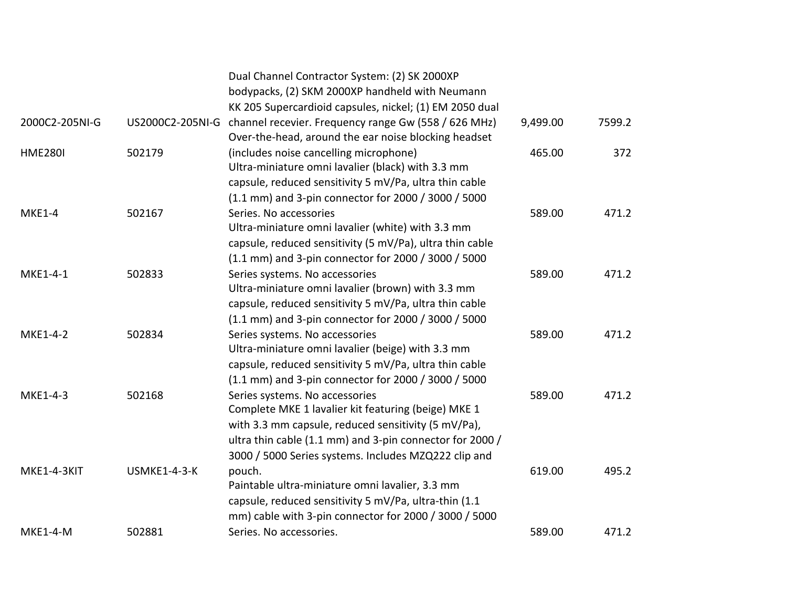|                 |              | Dual Channel Contractor System: (2) SK 2000XP<br>bodypacks, (2) SKM 2000XP handheld with Neumann<br>KK 205 Supercardioid capsules, nickel; (1) EM 2050 dual                                                                                                      |          |        |
|-----------------|--------------|------------------------------------------------------------------------------------------------------------------------------------------------------------------------------------------------------------------------------------------------------------------|----------|--------|
| 2000C2-205NI-G  |              | US2000C2-205NI-G channel recevier. Frequency range Gw (558 / 626 MHz)<br>Over-the-head, around the ear noise blocking headset                                                                                                                                    | 9,499.00 | 7599.2 |
| <b>HME280I</b>  | 502179       | (includes noise cancelling microphone)<br>Ultra-miniature omni lavalier (black) with 3.3 mm<br>capsule, reduced sensitivity 5 mV/Pa, ultra thin cable<br>(1.1 mm) and 3-pin connector for 2000 / 3000 / 5000                                                     | 465.00   | 372    |
| <b>MKE1-4</b>   | 502167       | Series. No accessories<br>Ultra-miniature omni lavalier (white) with 3.3 mm<br>capsule, reduced sensitivity (5 mV/Pa), ultra thin cable<br>(1.1 mm) and 3-pin connector for 2000 / 3000 / 5000                                                                   | 589.00   | 471.2  |
| MKE1-4-1        | 502833       | Series systems. No accessories<br>Ultra-miniature omni lavalier (brown) with 3.3 mm<br>capsule, reduced sensitivity 5 mV/Pa, ultra thin cable<br>(1.1 mm) and 3-pin connector for 2000 / 3000 / 5000                                                             | 589.00   | 471.2  |
| MKE1-4-2        | 502834       | Series systems. No accessories<br>Ultra-miniature omni lavalier (beige) with 3.3 mm<br>capsule, reduced sensitivity 5 mV/Pa, ultra thin cable<br>(1.1 mm) and 3-pin connector for 2000 / 3000 / 5000                                                             | 589.00   | 471.2  |
| MKE1-4-3        | 502168       | Series systems. No accessories<br>Complete MKE 1 lavalier kit featuring (beige) MKE 1<br>with 3.3 mm capsule, reduced sensitivity (5 mV/Pa),<br>ultra thin cable (1.1 mm) and 3-pin connector for 2000 /<br>3000 / 5000 Series systems. Includes MZQ222 clip and | 589.00   | 471.2  |
| MKE1-4-3KIT     | USMKE1-4-3-K | pouch.<br>Paintable ultra-miniature omni lavalier, 3.3 mm<br>capsule, reduced sensitivity 5 mV/Pa, ultra-thin (1.1<br>mm) cable with 3-pin connector for 2000 / 3000 / 5000                                                                                      | 619.00   | 495.2  |
| <b>MKE1-4-M</b> | 502881       | Series. No accessories.                                                                                                                                                                                                                                          | 589.00   | 471.2  |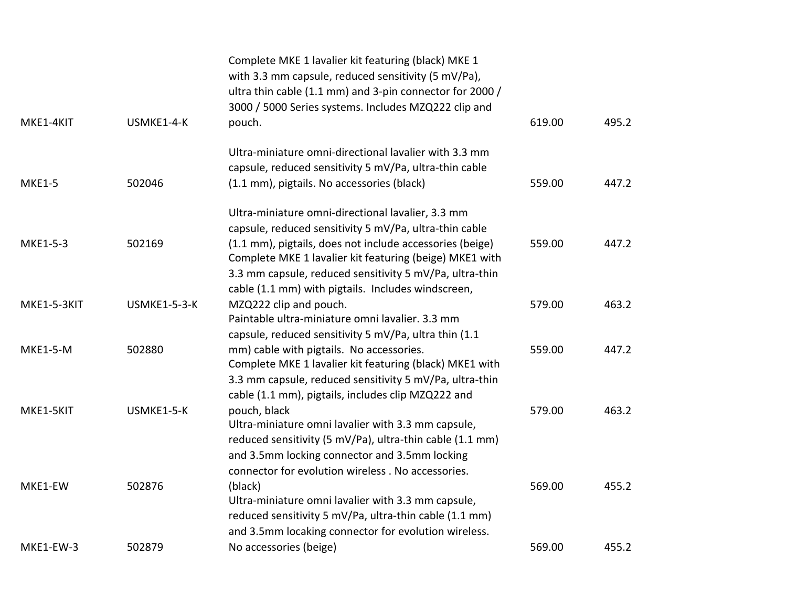|                 |              | Complete MKE 1 lavalier kit featuring (black) MKE 1<br>with 3.3 mm capsule, reduced sensitivity (5 mV/Pa),<br>ultra thin cable (1.1 mm) and 3-pin connector for 2000 /<br>3000 / 5000 Series systems. Includes MZQ222 clip and |        |       |
|-----------------|--------------|--------------------------------------------------------------------------------------------------------------------------------------------------------------------------------------------------------------------------------|--------|-------|
| MKE1-4KIT       | USMKE1-4-K   | pouch.                                                                                                                                                                                                                         | 619.00 | 495.2 |
|                 |              | Ultra-miniature omni-directional lavalier with 3.3 mm                                                                                                                                                                          |        |       |
|                 |              | capsule, reduced sensitivity 5 mV/Pa, ultra-thin cable                                                                                                                                                                         |        |       |
| <b>MKE1-5</b>   | 502046       | (1.1 mm), pigtails. No accessories (black)                                                                                                                                                                                     | 559.00 | 447.2 |
|                 |              | Ultra-miniature omni-directional lavalier, 3.3 mm                                                                                                                                                                              |        |       |
|                 |              | capsule, reduced sensitivity 5 mV/Pa, ultra-thin cable                                                                                                                                                                         |        |       |
| MKE1-5-3        | 502169       | (1.1 mm), pigtails, does not include accessories (beige)                                                                                                                                                                       | 559.00 | 447.2 |
|                 |              | Complete MKE 1 lavalier kit featuring (beige) MKE1 with                                                                                                                                                                        |        |       |
|                 |              | 3.3 mm capsule, reduced sensitivity 5 mV/Pa, ultra-thin                                                                                                                                                                        |        |       |
|                 |              | cable (1.1 mm) with pigtails. Includes windscreen,                                                                                                                                                                             |        |       |
| MKE1-5-3KIT     | USMKE1-5-3-K | MZQ222 clip and pouch.                                                                                                                                                                                                         | 579.00 | 463.2 |
|                 |              | Paintable ultra-miniature omni lavalier. 3.3 mm                                                                                                                                                                                |        |       |
|                 |              | capsule, reduced sensitivity 5 mV/Pa, ultra thin (1.1                                                                                                                                                                          |        |       |
| <b>MKE1-5-M</b> | 502880       | mm) cable with pigtails. No accessories.                                                                                                                                                                                       | 559.00 | 447.2 |
|                 |              | Complete MKE 1 lavalier kit featuring (black) MKE1 with                                                                                                                                                                        |        |       |
|                 |              | 3.3 mm capsule, reduced sensitivity 5 mV/Pa, ultra-thin                                                                                                                                                                        |        |       |
|                 |              | cable (1.1 mm), pigtails, includes clip MZQ222 and                                                                                                                                                                             |        |       |
| MKE1-5KIT       | USMKE1-5-K   | pouch, black                                                                                                                                                                                                                   | 579.00 | 463.2 |
|                 |              | Ultra-miniature omni lavalier with 3.3 mm capsule,                                                                                                                                                                             |        |       |
|                 |              | reduced sensitivity (5 mV/Pa), ultra-thin cable (1.1 mm)                                                                                                                                                                       |        |       |
|                 |              | and 3.5mm locking connector and 3.5mm locking                                                                                                                                                                                  |        |       |
|                 |              | connector for evolution wireless . No accessories.                                                                                                                                                                             |        |       |
| MKE1-EW         | 502876       | (black)                                                                                                                                                                                                                        | 569.00 | 455.2 |
|                 |              | Ultra-miniature omni lavalier with 3.3 mm capsule,                                                                                                                                                                             |        |       |
|                 |              | reduced sensitivity 5 mV/Pa, ultra-thin cable (1.1 mm)                                                                                                                                                                         |        |       |
|                 |              | and 3.5mm locaking connector for evolution wireless.                                                                                                                                                                           |        |       |
| MKE1-EW-3       | 502879       | No accessories (beige)                                                                                                                                                                                                         | 569.00 | 455.2 |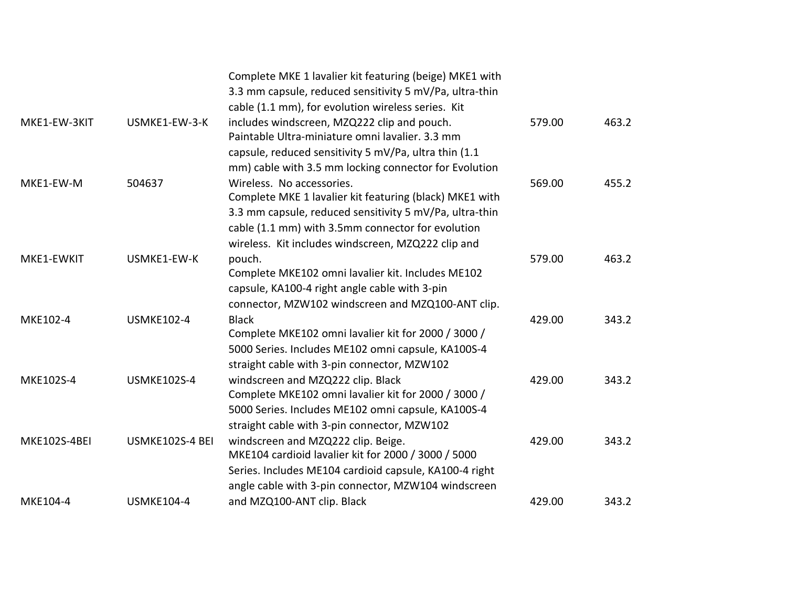|              |                    | Complete MKE 1 lavalier kit featuring (beige) MKE1 with<br>3.3 mm capsule, reduced sensitivity 5 mV/Pa, ultra-thin                                   |        |       |
|--------------|--------------------|------------------------------------------------------------------------------------------------------------------------------------------------------|--------|-------|
| MKE1-EW-3KIT | USMKE1-EW-3-K      | cable (1.1 mm), for evolution wireless series. Kit<br>includes windscreen, MZQ222 clip and pouch.<br>Paintable Ultra-miniature omni lavalier. 3.3 mm | 579.00 | 463.2 |
|              |                    | capsule, reduced sensitivity 5 mV/Pa, ultra thin (1.1<br>mm) cable with 3.5 mm locking connector for Evolution                                       |        |       |
| MKE1-EW-M    | 504637             | Wireless. No accessories.                                                                                                                            | 569.00 | 455.2 |
|              |                    | Complete MKE 1 lavalier kit featuring (black) MKE1 with                                                                                              |        |       |
|              |                    | 3.3 mm capsule, reduced sensitivity 5 mV/Pa, ultra-thin                                                                                              |        |       |
|              |                    | cable (1.1 mm) with 3.5mm connector for evolution<br>wireless. Kit includes windscreen, MZQ222 clip and                                              |        |       |
| MKE1-EWKIT   | USMKE1-EW-K        | pouch.                                                                                                                                               | 579.00 | 463.2 |
|              |                    | Complete MKE102 omni lavalier kit. Includes ME102                                                                                                    |        |       |
|              |                    | capsule, KA100-4 right angle cable with 3-pin                                                                                                        |        |       |
|              |                    | connector, MZW102 windscreen and MZQ100-ANT clip.                                                                                                    |        |       |
| MKE102-4     | <b>USMKE102-4</b>  | <b>Black</b>                                                                                                                                         | 429.00 | 343.2 |
|              |                    | Complete MKE102 omni lavalier kit for 2000 / 3000 /                                                                                                  |        |       |
|              |                    | 5000 Series. Includes ME102 omni capsule, KA100S-4                                                                                                   |        |       |
|              |                    | straight cable with 3-pin connector, MZW102                                                                                                          |        |       |
| MKE102S-4    | <b>USMKE102S-4</b> | windscreen and MZQ222 clip. Black                                                                                                                    | 429.00 | 343.2 |
|              |                    | Complete MKE102 omni lavalier kit for 2000 / 3000 /                                                                                                  |        |       |
|              |                    | 5000 Series. Includes ME102 omni capsule, KA100S-4                                                                                                   |        |       |
|              |                    | straight cable with 3-pin connector, MZW102                                                                                                          |        |       |
| MKE102S-4BEI | USMKE102S-4 BEI    | windscreen and MZQ222 clip. Beige.                                                                                                                   | 429.00 | 343.2 |
|              |                    | MKE104 cardioid lavalier kit for 2000 / 3000 / 5000                                                                                                  |        |       |
|              |                    | Series. Includes ME104 cardioid capsule, KA100-4 right                                                                                               |        |       |
|              |                    | angle cable with 3-pin connector, MZW104 windscreen                                                                                                  |        |       |
| MKE104-4     | <b>USMKE104-4</b>  | and MZQ100-ANT clip. Black                                                                                                                           | 429.00 | 343.2 |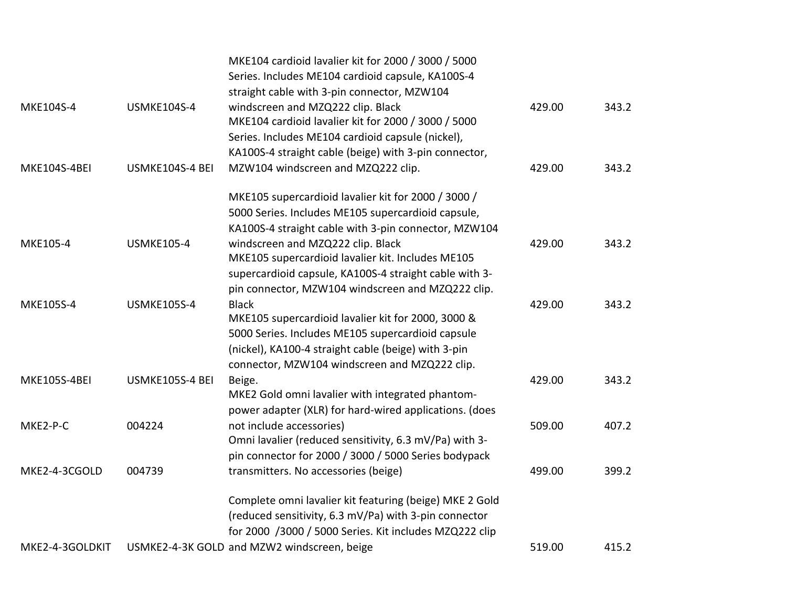|                     |                    | MKE104 cardioid lavalier kit for 2000 / 3000 / 5000<br>Series. Includes ME104 cardioid capsule, KA100S-4 |        |       |
|---------------------|--------------------|----------------------------------------------------------------------------------------------------------|--------|-------|
| MKE104S-4           | <b>USMKE104S-4</b> | straight cable with 3-pin connector, MZW104<br>windscreen and MZQ222 clip. Black                         | 429.00 | 343.2 |
|                     |                    | MKE104 cardioid lavalier kit for 2000 / 3000 / 5000                                                      |        |       |
|                     |                    | Series. Includes ME104 cardioid capsule (nickel),                                                        |        |       |
|                     |                    | KA100S-4 straight cable (beige) with 3-pin connector,                                                    |        |       |
| MKE104S-4BEI        | USMKE104S-4 BEI    | MZW104 windscreen and MZQ222 clip.                                                                       | 429.00 | 343.2 |
|                     |                    | MKE105 supercardioid lavalier kit for 2000 / 3000 /                                                      |        |       |
|                     |                    | 5000 Series. Includes ME105 supercardioid capsule,                                                       |        |       |
|                     |                    | KA100S-4 straight cable with 3-pin connector, MZW104                                                     |        |       |
| MKE105-4            | <b>USMKE105-4</b>  | windscreen and MZQ222 clip. Black                                                                        | 429.00 | 343.2 |
|                     |                    | MKE105 supercardioid lavalier kit. Includes ME105                                                        |        |       |
|                     |                    | supercardioid capsule, KA100S-4 straight cable with 3-                                                   |        |       |
|                     |                    | pin connector, MZW104 windscreen and MZQ222 clip.                                                        |        |       |
| MKE105S-4           | <b>USMKE105S-4</b> | <b>Black</b>                                                                                             | 429.00 | 343.2 |
|                     |                    | MKE105 supercardioid lavalier kit for 2000, 3000 &                                                       |        |       |
|                     |                    | 5000 Series. Includes ME105 supercardioid capsule                                                        |        |       |
|                     |                    | (nickel), KA100-4 straight cable (beige) with 3-pin                                                      |        |       |
|                     |                    | connector, MZW104 windscreen and MZQ222 clip.                                                            |        |       |
| <b>MKE105S-4BEI</b> | USMKE105S-4 BEI    | Beige.                                                                                                   | 429.00 | 343.2 |
|                     |                    | MKE2 Gold omni lavalier with integrated phantom-                                                         |        |       |
|                     |                    | power adapter (XLR) for hard-wired applications. (does                                                   |        |       |
| MKE2-P-C            | 004224             | not include accessories)                                                                                 | 509.00 | 407.2 |
|                     |                    | Omni lavalier (reduced sensitivity, 6.3 mV/Pa) with 3-                                                   |        |       |
|                     |                    | pin connector for 2000 / 3000 / 5000 Series bodypack                                                     |        |       |
| MKE2-4-3CGOLD       | 004739             | transmitters. No accessories (beige)                                                                     | 499.00 | 399.2 |
|                     |                    | Complete omni lavalier kit featuring (beige) MKE 2 Gold                                                  |        |       |
|                     |                    | (reduced sensitivity, 6.3 mV/Pa) with 3-pin connector                                                    |        |       |
|                     |                    | for 2000 /3000 / 5000 Series. Kit includes MZQ222 clip                                                   |        |       |
| MKE2-4-3GOLDKIT     |                    | USMKE2-4-3K GOLD and MZW2 windscreen, beige                                                              | 519.00 | 415.2 |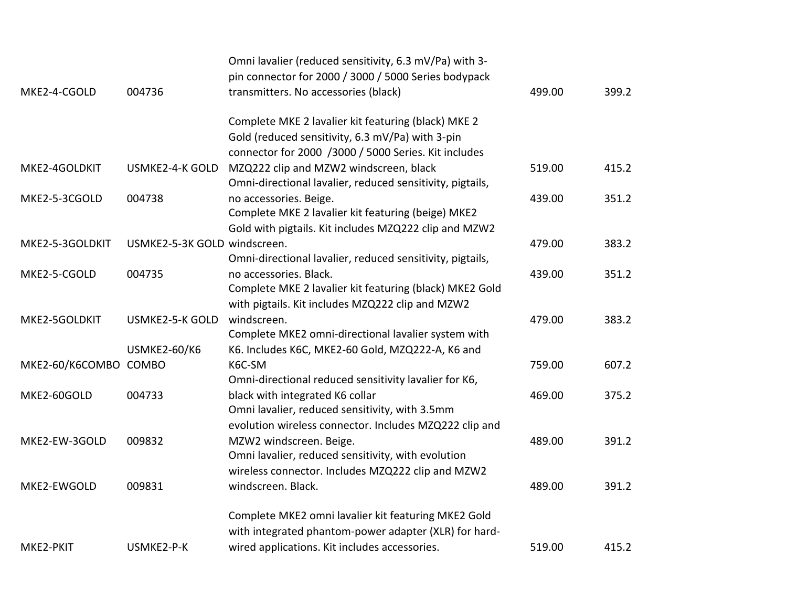|                       |                              | Omni lavalier (reduced sensitivity, 6.3 mV/Pa) with 3-    |        |       |
|-----------------------|------------------------------|-----------------------------------------------------------|--------|-------|
|                       |                              | pin connector for 2000 / 3000 / 5000 Series bodypack      |        |       |
| MKE2-4-CGOLD          | 004736                       | transmitters. No accessories (black)                      | 499.00 | 399.2 |
|                       |                              | Complete MKE 2 lavalier kit featuring (black) MKE 2       |        |       |
|                       |                              | Gold (reduced sensitivity, 6.3 mV/Pa) with 3-pin          |        |       |
|                       |                              | connector for 2000 /3000 / 5000 Series. Kit includes      |        |       |
| MKE2-4GOLDKIT         | <b>USMKE2-4-K GOLD</b>       | MZQ222 clip and MZW2 windscreen, black                    | 519.00 | 415.2 |
|                       |                              | Omni-directional lavalier, reduced sensitivity, pigtails, |        |       |
| MKE2-5-3CGOLD         | 004738                       | no accessories. Beige.                                    | 439.00 | 351.2 |
|                       |                              | Complete MKE 2 lavalier kit featuring (beige) MKE2        |        |       |
|                       |                              | Gold with pigtails. Kit includes MZQ222 clip and MZW2     |        |       |
| MKE2-5-3GOLDKIT       | USMKE2-5-3K GOLD windscreen. |                                                           | 479.00 | 383.2 |
|                       |                              | Omni-directional lavalier, reduced sensitivity, pigtails, |        |       |
| MKE2-5-CGOLD          | 004735                       | no accessories. Black.                                    | 439.00 | 351.2 |
|                       |                              | Complete MKE 2 lavalier kit featuring (black) MKE2 Gold   |        |       |
|                       |                              | with pigtails. Kit includes MZQ222 clip and MZW2          |        |       |
| MKE2-5GOLDKIT         | <b>USMKE2-5-K GOLD</b>       | windscreen.                                               | 479.00 | 383.2 |
|                       |                              | Complete MKE2 omni-directional lavalier system with       |        |       |
|                       | <b>USMKE2-60/K6</b>          | K6. Includes K6C, MKE2-60 Gold, MZQ222-A, K6 and          |        |       |
| MKE2-60/K6COMBO COMBO |                              | K6C-SM                                                    | 759.00 | 607.2 |
|                       |                              | Omni-directional reduced sensitivity lavalier for K6,     |        |       |
| MKE2-60GOLD           | 004733                       | black with integrated K6 collar                           | 469.00 | 375.2 |
|                       |                              | Omni lavalier, reduced sensitivity, with 3.5mm            |        |       |
|                       |                              | evolution wireless connector. Includes MZQ222 clip and    |        |       |
| MKE2-EW-3GOLD         | 009832                       | MZW2 windscreen. Beige.                                   | 489.00 | 391.2 |
|                       |                              | Omni lavalier, reduced sensitivity, with evolution        |        |       |
|                       |                              | wireless connector. Includes MZQ222 clip and MZW2         |        |       |
| MKE2-EWGOLD           | 009831                       | windscreen. Black.                                        | 489.00 | 391.2 |
|                       |                              | Complete MKE2 omni lavalier kit featuring MKE2 Gold       |        |       |
|                       |                              | with integrated phantom-power adapter (XLR) for hard-     |        |       |
| MKE2-PKIT             | USMKE2-P-K                   | wired applications. Kit includes accessories.             | 519.00 | 415.2 |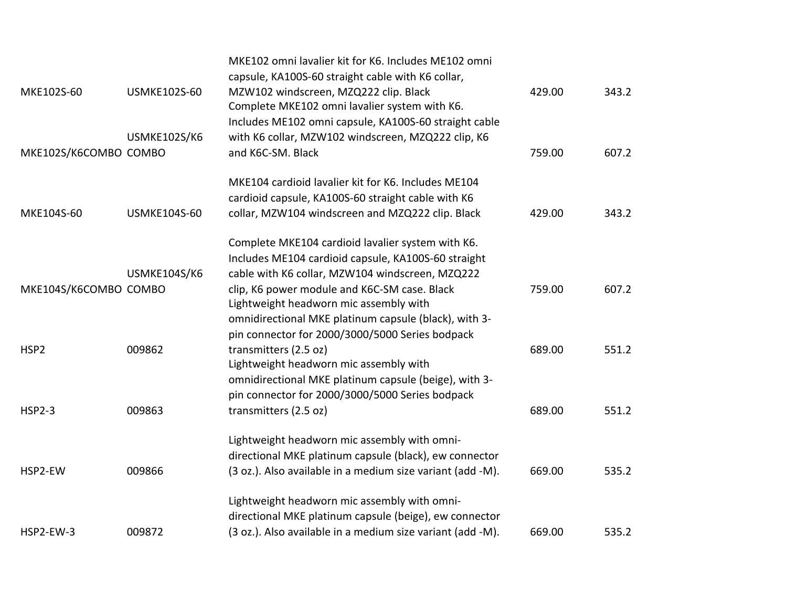|                       |                     | MKE102 omni lavalier kit for K6. Includes ME102 omni<br>capsule, KA100S-60 straight cable with K6 collar, |        |       |
|-----------------------|---------------------|-----------------------------------------------------------------------------------------------------------|--------|-------|
| MKE102S-60            | <b>USMKE102S-60</b> | MZW102 windscreen, MZQ222 clip. Black                                                                     | 429.00 | 343.2 |
|                       |                     | Complete MKE102 omni lavalier system with K6.                                                             |        |       |
|                       |                     | Includes ME102 omni capsule, KA100S-60 straight cable                                                     |        |       |
|                       | USMKE102S/K6        | with K6 collar, MZW102 windscreen, MZQ222 clip, K6                                                        |        |       |
| MKE102S/K6COMBO COMBO |                     | and K6C-SM. Black                                                                                         | 759.00 | 607.2 |
|                       |                     | MKE104 cardioid lavalier kit for K6. Includes ME104                                                       |        |       |
|                       |                     | cardioid capsule, KA100S-60 straight cable with K6                                                        |        |       |
| MKE104S-60            | <b>USMKE104S-60</b> | collar, MZW104 windscreen and MZQ222 clip. Black                                                          | 429.00 | 343.2 |
|                       |                     | Complete MKE104 cardioid lavalier system with K6.                                                         |        |       |
|                       |                     | Includes ME104 cardioid capsule, KA100S-60 straight                                                       |        |       |
|                       | <b>USMKE104S/K6</b> | cable with K6 collar, MZW104 windscreen, MZQ222                                                           |        |       |
| MKE104S/K6COMBO COMBO |                     | clip, K6 power module and K6C-SM case. Black                                                              | 759.00 | 607.2 |
|                       |                     | Lightweight headworn mic assembly with                                                                    |        |       |
|                       |                     | omnidirectional MKE platinum capsule (black), with 3-                                                     |        |       |
|                       |                     | pin connector for 2000/3000/5000 Series bodpack                                                           |        |       |
| HSP <sub>2</sub>      | 009862              | transmitters (2.5 oz)                                                                                     | 689.00 | 551.2 |
|                       |                     | Lightweight headworn mic assembly with<br>omnidirectional MKE platinum capsule (beige), with 3-           |        |       |
|                       |                     | pin connector for 2000/3000/5000 Series bodpack                                                           |        |       |
| <b>HSP2-3</b>         | 009863              | transmitters (2.5 oz)                                                                                     | 689.00 | 551.2 |
|                       |                     |                                                                                                           |        |       |
|                       |                     | Lightweight headworn mic assembly with omni-                                                              |        |       |
|                       |                     | directional MKE platinum capsule (black), ew connector                                                    |        |       |
| HSP2-EW               | 009866              | (3 oz.). Also available in a medium size variant (add -M).                                                | 669.00 | 535.2 |
|                       |                     | Lightweight headworn mic assembly with omni-                                                              |        |       |
|                       |                     | directional MKE platinum capsule (beige), ew connector                                                    |        |       |
| HSP2-EW-3             | 009872              | (3 oz.). Also available in a medium size variant (add -M).                                                | 669.00 | 535.2 |
|                       |                     |                                                                                                           |        |       |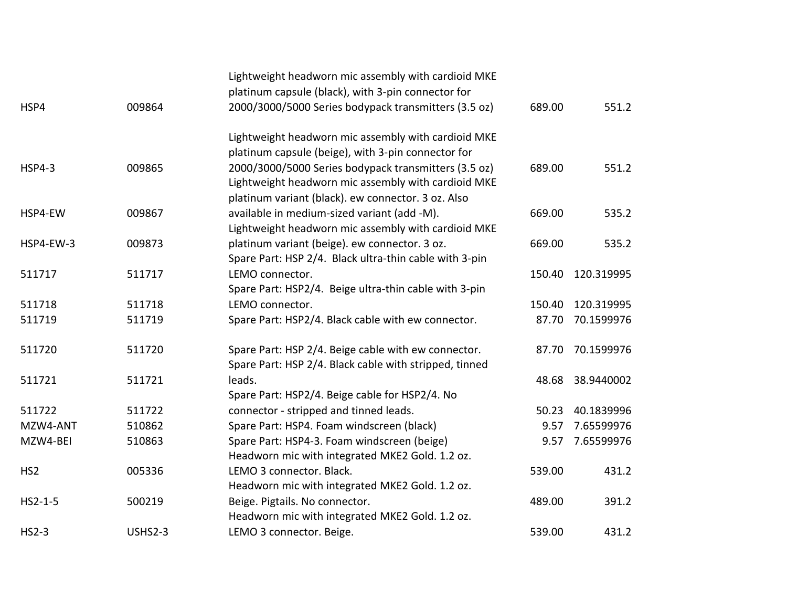|                 |                | Lightweight headworn mic assembly with cardioid MKE    |        |            |
|-----------------|----------------|--------------------------------------------------------|--------|------------|
|                 |                | platinum capsule (black), with 3-pin connector for     |        |            |
| HSP4            | 009864         | 2000/3000/5000 Series bodypack transmitters (3.5 oz)   | 689.00 | 551.2      |
|                 |                | Lightweight headworn mic assembly with cardioid MKE    |        |            |
|                 |                | platinum capsule (beige), with 3-pin connector for     |        |            |
| <b>HSP4-3</b>   | 009865         | 2000/3000/5000 Series bodypack transmitters (3.5 oz)   | 689.00 | 551.2      |
|                 |                | Lightweight headworn mic assembly with cardioid MKE    |        |            |
|                 |                | platinum variant (black). ew connector. 3 oz. Also     |        |            |
| HSP4-EW         | 009867         | available in medium-sized variant (add -M).            | 669.00 | 535.2      |
|                 |                | Lightweight headworn mic assembly with cardioid MKE    |        |            |
| HSP4-EW-3       | 009873         | platinum variant (beige). ew connector. 3 oz.          | 669.00 | 535.2      |
|                 |                | Spare Part: HSP 2/4. Black ultra-thin cable with 3-pin |        |            |
| 511717          | 511717         | LEMO connector.                                        | 150.40 | 120.319995 |
|                 |                | Spare Part: HSP2/4. Beige ultra-thin cable with 3-pin  |        |            |
| 511718          | 511718         | LEMO connector.                                        | 150.40 | 120.319995 |
| 511719          | 511719         | Spare Part: HSP2/4. Black cable with ew connector.     | 87.70  | 70.1599976 |
| 511720          | 511720         | Spare Part: HSP 2/4. Beige cable with ew connector.    | 87.70  | 70.1599976 |
|                 |                | Spare Part: HSP 2/4. Black cable with stripped, tinned |        |            |
| 511721          | 511721         | leads.                                                 | 48.68  | 38.9440002 |
|                 |                | Spare Part: HSP2/4. Beige cable for HSP2/4. No         |        |            |
| 511722          | 511722         | connector - stripped and tinned leads.                 | 50.23  | 40.1839996 |
| MZW4-ANT        | 510862         | Spare Part: HSP4. Foam windscreen (black)              | 9.57   | 7.65599976 |
| MZW4-BEI        | 510863         | Spare Part: HSP4-3. Foam windscreen (beige)            | 9.57   | 7.65599976 |
|                 |                | Headworn mic with integrated MKE2 Gold. 1.2 oz.        |        |            |
| HS <sub>2</sub> | 005336         | LEMO 3 connector. Black.                               | 539.00 | 431.2      |
|                 |                | Headworn mic with integrated MKE2 Gold. 1.2 oz.        |        |            |
| $HS2 - 1 - 5$   | 500219         | Beige. Pigtails. No connector.                         | 489.00 | 391.2      |
|                 |                | Headworn mic with integrated MKE2 Gold. 1.2 oz.        |        |            |
| $HS2-3$         | <b>USHS2-3</b> | LEMO 3 connector. Beige.                               | 539.00 | 431.2      |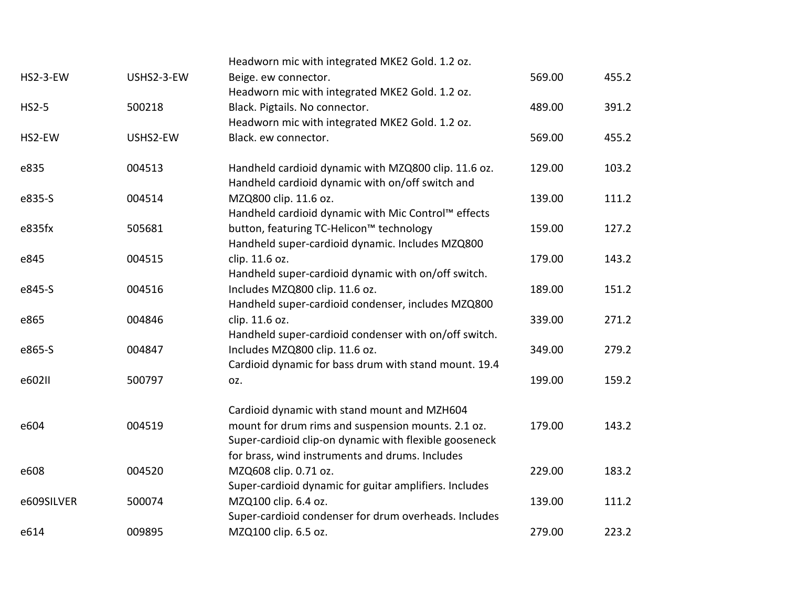|            | Headworn mic with integrated MKE2 Gold. 1.2 oz.        |                                                                                                                                                                                                                                                                |        |
|------------|--------------------------------------------------------|----------------------------------------------------------------------------------------------------------------------------------------------------------------------------------------------------------------------------------------------------------------|--------|
| USHS2-3-EW | Beige. ew connector.                                   | 569.00                                                                                                                                                                                                                                                         | 455.2  |
|            | Headworn mic with integrated MKE2 Gold. 1.2 oz.        |                                                                                                                                                                                                                                                                |        |
| 500218     | Black. Pigtails. No connector.                         | 489.00                                                                                                                                                                                                                                                         | 391.2  |
|            | Headworn mic with integrated MKE2 Gold. 1.2 oz.        |                                                                                                                                                                                                                                                                |        |
| USHS2-EW   | Black. ew connector.                                   | 569.00                                                                                                                                                                                                                                                         | 455.2  |
| 004513     | Handheld cardioid dynamic with MZQ800 clip. 11.6 oz.   | 129.00                                                                                                                                                                                                                                                         | 103.2  |
|            |                                                        |                                                                                                                                                                                                                                                                |        |
| 004514     | MZQ800 clip. 11.6 oz.                                  | 139.00                                                                                                                                                                                                                                                         | 111.2  |
|            |                                                        |                                                                                                                                                                                                                                                                |        |
|            |                                                        |                                                                                                                                                                                                                                                                | 127.2  |
|            |                                                        |                                                                                                                                                                                                                                                                |        |
| 004515     | clip. 11.6 oz.                                         | 179.00                                                                                                                                                                                                                                                         | 143.2  |
|            |                                                        |                                                                                                                                                                                                                                                                |        |
| 004516     | Includes MZQ800 clip. 11.6 oz.                         | 189.00                                                                                                                                                                                                                                                         | 151.2  |
|            | Handheld super-cardioid condenser, includes MZQ800     |                                                                                                                                                                                                                                                                |        |
| 004846     | clip. 11.6 oz.                                         | 339.00                                                                                                                                                                                                                                                         | 271.2  |
|            | Handheld super-cardioid condenser with on/off switch.  |                                                                                                                                                                                                                                                                |        |
| 004847     | Includes MZQ800 clip. 11.6 oz.                         | 349.00                                                                                                                                                                                                                                                         | 279.2  |
|            | Cardioid dynamic for bass drum with stand mount. 19.4  |                                                                                                                                                                                                                                                                |        |
| 500797     | OZ.                                                    | 199.00                                                                                                                                                                                                                                                         | 159.2  |
|            | Cardioid dynamic with stand mount and MZH604           |                                                                                                                                                                                                                                                                |        |
| 004519     | mount for drum rims and suspension mounts. 2.1 oz.     | 179.00                                                                                                                                                                                                                                                         | 143.2  |
|            | Super-cardioid clip-on dynamic with flexible gooseneck |                                                                                                                                                                                                                                                                |        |
|            | for brass, wind instruments and drums. Includes        |                                                                                                                                                                                                                                                                |        |
| 004520     | MZQ608 clip. 0.71 oz.                                  | 229.00                                                                                                                                                                                                                                                         | 183.2  |
|            | Super-cardioid dynamic for guitar amplifiers. Includes |                                                                                                                                                                                                                                                                |        |
| 500074     | MZQ100 clip. 6.4 oz.                                   | 139.00                                                                                                                                                                                                                                                         | 111.2  |
|            | Super-cardioid condenser for drum overheads. Includes  |                                                                                                                                                                                                                                                                |        |
| 009895     | MZQ100 clip. 6.5 oz.                                   | 279.00                                                                                                                                                                                                                                                         | 223.2  |
|            | 505681                                                 | Handheld cardioid dynamic with on/off switch and<br>Handheld cardioid dynamic with Mic Control™ effects<br>button, featuring TC-Helicon™ technology<br>Handheld super-cardioid dynamic. Includes MZQ800<br>Handheld super-cardioid dynamic with on/off switch. | 159.00 |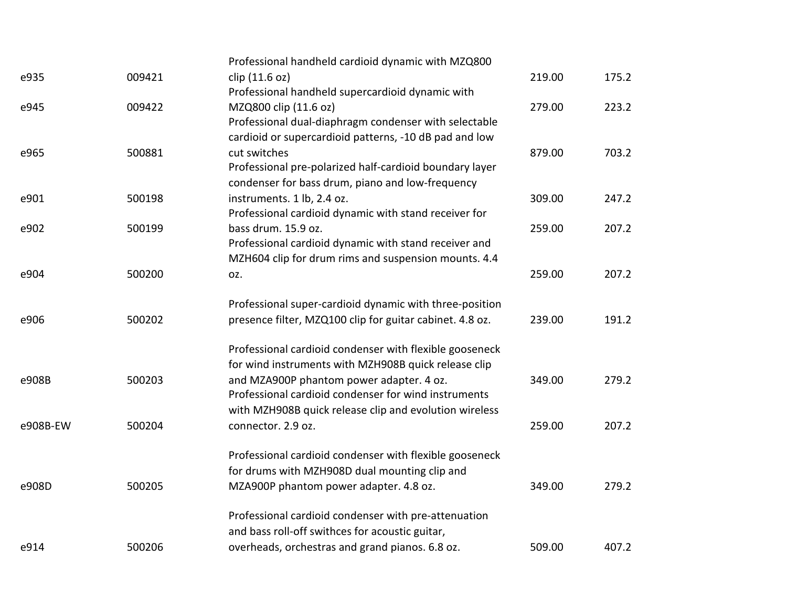|          |        | Professional handheld cardioid dynamic with MZQ800       |        |       |
|----------|--------|----------------------------------------------------------|--------|-------|
| e935     | 009421 | clip (11.6 oz)                                           | 219.00 | 175.2 |
|          |        | Professional handheld supercardioid dynamic with         |        |       |
| e945     | 009422 | MZQ800 clip (11.6 oz)                                    | 279.00 | 223.2 |
|          |        | Professional dual-diaphragm condenser with selectable    |        |       |
|          |        | cardioid or supercardioid patterns, -10 dB pad and low   |        |       |
| e965     | 500881 | cut switches                                             | 879.00 | 703.2 |
|          |        | Professional pre-polarized half-cardioid boundary layer  |        |       |
|          |        | condenser for bass drum, piano and low-frequency         |        |       |
| e901     | 500198 | instruments. 1 lb, 2.4 oz.                               | 309.00 | 247.2 |
|          |        | Professional cardioid dynamic with stand receiver for    |        |       |
| e902     | 500199 | bass drum. 15.9 oz.                                      | 259.00 | 207.2 |
|          |        | Professional cardioid dynamic with stand receiver and    |        |       |
|          |        | MZH604 clip for drum rims and suspension mounts. 4.4     |        |       |
| e904     | 500200 | OZ.                                                      | 259.00 | 207.2 |
|          |        | Professional super-cardioid dynamic with three-position  |        |       |
| e906     | 500202 | presence filter, MZQ100 clip for guitar cabinet. 4.8 oz. | 239.00 | 191.2 |
|          |        | Professional cardioid condenser with flexible gooseneck  |        |       |
|          |        | for wind instruments with MZH908B quick release clip     |        |       |
| e908B    | 500203 | and MZA900P phantom power adapter. 4 oz.                 | 349.00 | 279.2 |
|          |        | Professional cardioid condenser for wind instruments     |        |       |
|          |        | with MZH908B quick release clip and evolution wireless   |        |       |
| e908B-EW | 500204 | connector. 2.9 oz.                                       | 259.00 | 207.2 |
|          |        | Professional cardioid condenser with flexible gooseneck  |        |       |
|          |        | for drums with MZH908D dual mounting clip and            |        |       |
| e908D    | 500205 | MZA900P phantom power adapter. 4.8 oz.                   | 349.00 | 279.2 |
|          |        | Professional cardioid condenser with pre-attenuation     |        |       |
|          |        | and bass roll-off swithces for acoustic guitar,          |        |       |
| e914     | 500206 | overheads, orchestras and grand pianos. 6.8 oz.          | 509.00 | 407.2 |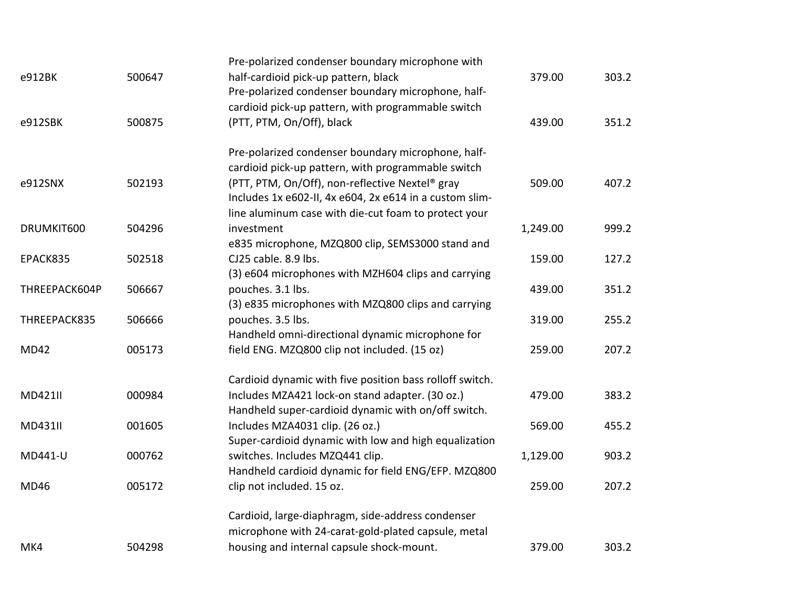| MK4            | 504298 | housing and internal capsule shock-mount.                                                                       | 379.00   | 303.2 |
|----------------|--------|-----------------------------------------------------------------------------------------------------------------|----------|-------|
|                |        | Cardioid, large-diaphragm, side-address condenser<br>microphone with 24-carat-gold-plated capsule, metal        |          |       |
| MD46           | 005172 | clip not included. 15 oz.                                                                                       | 259.00   | 207.2 |
|                |        | Handheld cardioid dynamic for field ENG/EFP. MZQ800                                                             |          |       |
| MD441-U        | 000762 | switches. Includes MZQ441 clip.                                                                                 | 1,129.00 | 903.2 |
|                |        | Super-cardioid dynamic with low and high equalization                                                           |          |       |
| <b>MD431II</b> | 001605 | Handheld super-cardioid dynamic with on/off switch.<br>Includes MZA4031 clip. (26 oz.)                          | 569.00   | 455.2 |
| <b>MD421II</b> | 000984 | Includes MZA421 lock-on stand adapter. (30 oz.)                                                                 | 479.00   | 383.2 |
|                |        | Cardioid dynamic with five position bass rolloff switch.                                                        |          |       |
| <b>MD42</b>    | 005173 | field ENG. MZQ800 clip not included. (15 oz)                                                                    | 259.00   | 207.2 |
| THREEPACK835   | 506666 | pouches. 3.5 lbs.<br>Handheld omni-directional dynamic microphone for                                           | 319.00   | 255.2 |
| THREEPACK604P  | 506667 | pouches. 3.1 lbs.<br>(3) e835 microphones with MZQ800 clips and carrying                                        | 439.00   | 351.2 |
|                |        | (3) e604 microphones with MZH604 clips and carrying                                                             |          |       |
| EPACK835       | 502518 | e835 microphone, MZQ800 clip, SEMS3000 stand and<br>CJ25 cable, 8.9 lbs.                                        | 159.00   | 127.2 |
| DRUMKIT600     | 504296 | investment                                                                                                      | 1,249.00 | 999.2 |
|                |        | Includes 1x e602-II, 4x e604, 2x e614 in a custom slim-<br>line aluminum case with die-cut foam to protect your |          |       |
| e912SNX        | 502193 | cardioid pick-up pattern, with programmable switch<br>(PTT, PTM, On/Off), non-reflective Nextel® gray           | 509.00   | 407.2 |
|                |        | Pre-polarized condenser boundary microphone, half-                                                              |          |       |
| e912SBK        | 500875 | (PTT, PTM, On/Off), black                                                                                       | 439.00   | 351.2 |
|                |        | Pre-polarized condenser boundary microphone, half-<br>cardioid pick-up pattern, with programmable switch        |          |       |
| e912BK         | 500647 | half-cardioid pick-up pattern, black                                                                            | 379.00   | 303.2 |
|                |        | Pre-polarized condenser boundary microphone with                                                                |          |       |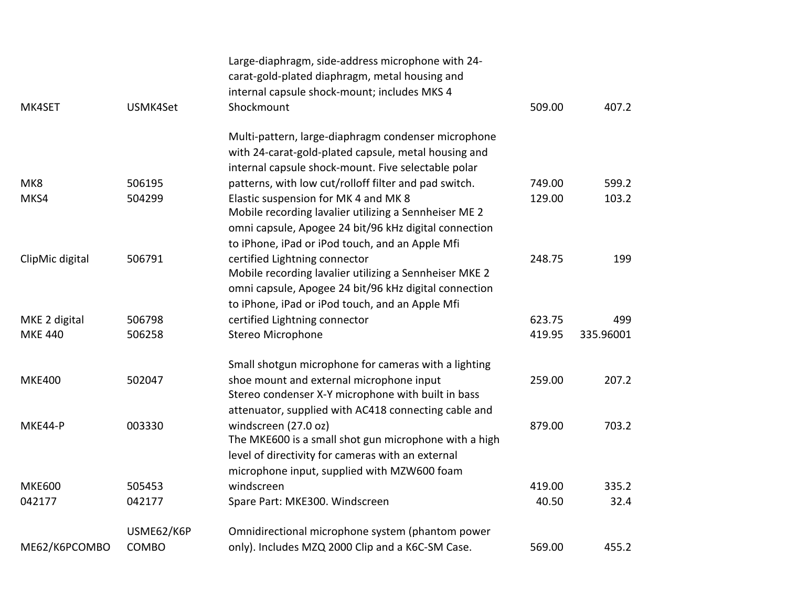|                 |            | Large-diaphragm, side-address microphone with 24-      |        |           |
|-----------------|------------|--------------------------------------------------------|--------|-----------|
|                 |            | carat-gold-plated diaphragm, metal housing and         |        |           |
|                 |            | internal capsule shock-mount; includes MKS 4           |        |           |
| MK4SET          | USMK4Set   | Shockmount                                             | 509.00 | 407.2     |
|                 |            | Multi-pattern, large-diaphragm condenser microphone    |        |           |
|                 |            | with 24-carat-gold-plated capsule, metal housing and   |        |           |
|                 |            | internal capsule shock-mount. Five selectable polar    |        |           |
| MK8             | 506195     | patterns, with low cut/rolloff filter and pad switch.  | 749.00 | 599.2     |
| MKS4            | 504299     | Elastic suspension for MK 4 and MK 8                   | 129.00 | 103.2     |
|                 |            | Mobile recording lavalier utilizing a Sennheiser ME 2  |        |           |
|                 |            | omni capsule, Apogee 24 bit/96 kHz digital connection  |        |           |
|                 |            | to iPhone, iPad or iPod touch, and an Apple Mfi        |        |           |
| ClipMic digital | 506791     | certified Lightning connector                          | 248.75 | 199       |
|                 |            | Mobile recording lavalier utilizing a Sennheiser MKE 2 |        |           |
|                 |            | omni capsule, Apogee 24 bit/96 kHz digital connection  |        |           |
|                 |            | to iPhone, iPad or iPod touch, and an Apple Mfi        |        |           |
| MKE 2 digital   | 506798     | certified Lightning connector                          | 623.75 | 499       |
| <b>MKE 440</b>  | 506258     | Stereo Microphone                                      | 419.95 | 335.96001 |
|                 |            | Small shotgun microphone for cameras with a lighting   |        |           |
| <b>MKE400</b>   | 502047     | shoe mount and external microphone input               | 259.00 | 207.2     |
|                 |            | Stereo condenser X-Y microphone with built in bass     |        |           |
|                 |            | attenuator, supplied with AC418 connecting cable and   |        |           |
| MKE44-P         | 003330     | windscreen (27.0 oz)                                   | 879.00 | 703.2     |
|                 |            | The MKE600 is a small shot gun microphone with a high  |        |           |
|                 |            | level of directivity for cameras with an external      |        |           |
|                 |            | microphone input, supplied with MZW600 foam            |        |           |
| <b>MKE600</b>   | 505453     | windscreen                                             | 419.00 | 335.2     |
| 042177          | 042177     | Spare Part: MKE300. Windscreen                         | 40.50  | 32.4      |
|                 | USME62/K6P | Omnidirectional microphone system (phantom power       |        |           |
| ME62/K6PCOMBO   | COMBO      | only). Includes MZQ 2000 Clip and a K6C-SM Case.       | 569.00 | 455.2     |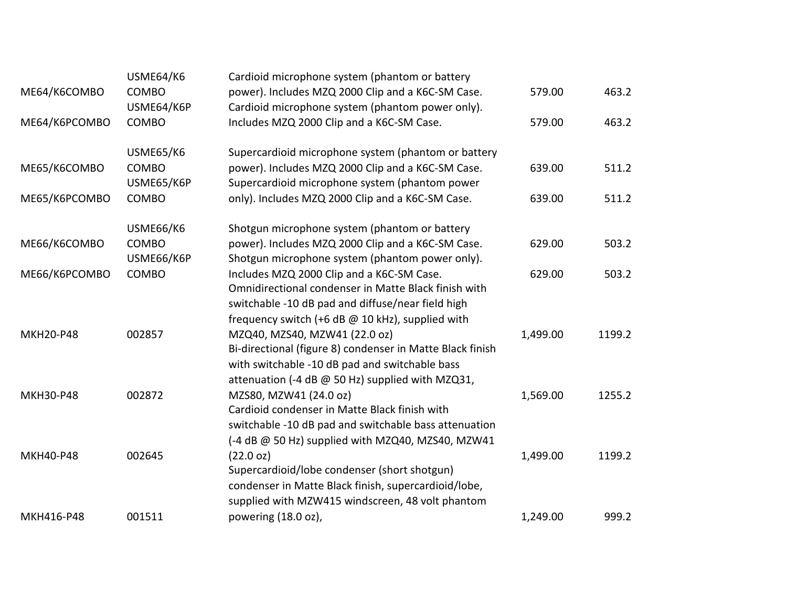|                  | USME64/K6  | Cardioid microphone system (phantom or battery            |          |        |
|------------------|------------|-----------------------------------------------------------|----------|--------|
| ME64/K6COMBO     | COMBO      | power). Includes MZQ 2000 Clip and a K6C-SM Case.         | 579.00   | 463.2  |
|                  | USME64/K6P | Cardioid microphone system (phantom power only).          |          |        |
| ME64/K6PCOMBO    | COMBO      | Includes MZQ 2000 Clip and a K6C-SM Case.                 | 579.00   | 463.2  |
|                  | USME65/K6  | Supercardioid microphone system (phantom or battery       |          |        |
| ME65/K6COMBO     | COMBO      | power). Includes MZQ 2000 Clip and a K6C-SM Case.         | 639.00   | 511.2  |
|                  | USME65/K6P | Supercardioid microphone system (phantom power            |          |        |
| ME65/K6PCOMBO    | COMBO      | only). Includes MZQ 2000 Clip and a K6C-SM Case.          | 639.00   | 511.2  |
|                  | USME66/K6  | Shotgun microphone system (phantom or battery             |          |        |
| ME66/K6COMBO     | COMBO      | power). Includes MZQ 2000 Clip and a K6C-SM Case.         | 629.00   | 503.2  |
|                  | USME66/K6P | Shotgun microphone system (phantom power only).           |          |        |
| ME66/K6PCOMBO    | COMBO      | Includes MZQ 2000 Clip and a K6C-SM Case.                 | 629.00   | 503.2  |
|                  |            | Omnidirectional condenser in Matte Black finish with      |          |        |
|                  |            | switchable -10 dB pad and diffuse/near field high         |          |        |
|                  |            | frequency switch (+6 dB @ 10 kHz), supplied with          |          |        |
| <b>MKH20-P48</b> | 002857     | MZQ40, MZS40, MZW41 (22.0 oz)                             | 1,499.00 | 1199.2 |
|                  |            | Bi-directional (figure 8) condenser in Matte Black finish |          |        |
|                  |            | with switchable -10 dB pad and switchable bass            |          |        |
|                  |            | attenuation (-4 dB @ 50 Hz) supplied with MZQ31,          |          |        |
| <b>MKH30-P48</b> | 002872     | MZS80, MZW41 (24.0 oz)                                    | 1,569.00 | 1255.2 |
|                  |            | Cardioid condenser in Matte Black finish with             |          |        |
|                  |            | switchable -10 dB pad and switchable bass attenuation     |          |        |
|                  |            | (-4 dB @ 50 Hz) supplied with MZQ40, MZS40, MZW41         |          |        |
| <b>MKH40-P48</b> | 002645     | (22.0 oz)                                                 | 1,499.00 | 1199.2 |
|                  |            | Supercardioid/lobe condenser (short shotgun)              |          |        |
|                  |            | condenser in Matte Black finish, supercardioid/lobe,      |          |        |
|                  |            | supplied with MZW415 windscreen, 48 volt phantom          |          |        |
| MKH416-P48       | 001511     | powering (18.0 oz),                                       | 1,249.00 | 999.2  |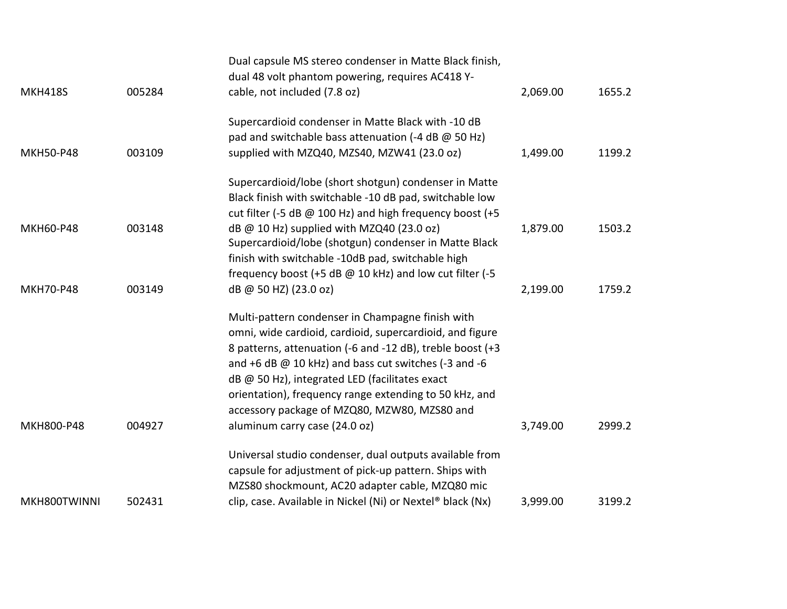|                  |        | Dual capsule MS stereo condenser in Matte Black finish,    |          |        |
|------------------|--------|------------------------------------------------------------|----------|--------|
|                  |        | dual 48 volt phantom powering, requires AC418 Y-           |          |        |
| <b>MKH418S</b>   | 005284 | cable, not included (7.8 oz)                               | 2,069.00 | 1655.2 |
|                  |        | Supercardioid condenser in Matte Black with -10 dB         |          |        |
|                  |        | pad and switchable bass attenuation (-4 dB @ 50 Hz)        |          |        |
| <b>MKH50-P48</b> | 003109 | supplied with MZQ40, MZS40, MZW41 (23.0 oz)                | 1,499.00 | 1199.2 |
|                  |        | Supercardioid/lobe (short shotgun) condenser in Matte      |          |        |
|                  |        | Black finish with switchable -10 dB pad, switchable low    |          |        |
|                  |        | cut filter (-5 dB @ 100 Hz) and high frequency boost (+5   |          |        |
| <b>MKH60-P48</b> | 003148 | $dB$ @ 10 Hz) supplied with MZQ40 (23.0 oz)                | 1,879.00 | 1503.2 |
|                  |        | Supercardioid/lobe (shotgun) condenser in Matte Black      |          |        |
|                  |        | finish with switchable -10dB pad, switchable high          |          |        |
|                  |        | frequency boost (+5 dB @ 10 kHz) and low cut filter (-5    |          |        |
| <b>MKH70-P48</b> | 003149 | dB @ 50 HZ) (23.0 oz)                                      | 2,199.00 | 1759.2 |
|                  |        | Multi-pattern condenser in Champagne finish with           |          |        |
|                  |        | omni, wide cardioid, cardioid, supercardioid, and figure   |          |        |
|                  |        | 8 patterns, attenuation (-6 and -12 dB), treble boost (+3  |          |        |
|                  |        | and $+6$ dB @ 10 kHz) and bass cut switches (-3 and -6     |          |        |
|                  |        | dB @ 50 Hz), integrated LED (facilitates exact             |          |        |
|                  |        | orientation), frequency range extending to 50 kHz, and     |          |        |
|                  |        | accessory package of MZQ80, MZW80, MZS80 and               |          |        |
| MKH800-P48       | 004927 | aluminum carry case (24.0 oz)                              | 3,749.00 | 2999.2 |
|                  |        | Universal studio condenser, dual outputs available from    |          |        |
|                  |        | capsule for adjustment of pick-up pattern. Ships with      |          |        |
|                  |        | MZS80 shockmount, AC20 adapter cable, MZQ80 mic            |          |        |
| MKH800TWINNI     | 502431 | clip, case. Available in Nickel (Ni) or Nextel® black (Nx) | 3,999.00 | 3199.2 |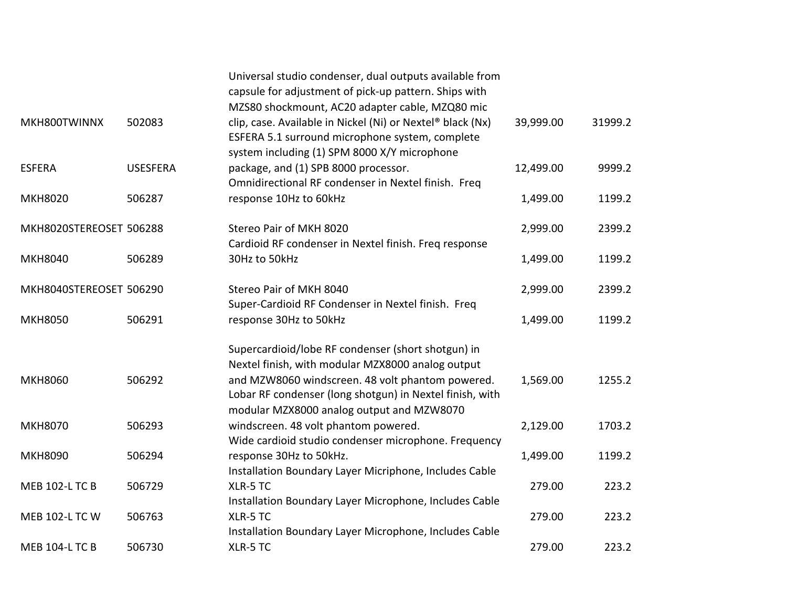|                         |                 | Universal studio condenser, dual outputs available from<br>capsule for adjustment of pick-up pattern. Ships with<br>MZS80 shockmount, AC20 adapter cable, MZQ80 mic                                                                                                  |           |         |
|-------------------------|-----------------|----------------------------------------------------------------------------------------------------------------------------------------------------------------------------------------------------------------------------------------------------------------------|-----------|---------|
| MKH800TWINNX            | 502083          | clip, case. Available in Nickel (Ni) or Nextel® black (Nx)<br>ESFERA 5.1 surround microphone system, complete<br>system including (1) SPM 8000 X/Y microphone                                                                                                        | 39,999.00 | 31999.2 |
| <b>ESFERA</b>           | <b>USESFERA</b> | package, and (1) SPB 8000 processor.<br>Omnidirectional RF condenser in Nextel finish. Freq                                                                                                                                                                          | 12,499.00 | 9999.2  |
| <b>MKH8020</b>          | 506287          | response 10Hz to 60kHz                                                                                                                                                                                                                                               | 1,499.00  | 1199.2  |
| MKH8020STEREOSET 506288 |                 | Stereo Pair of MKH 8020<br>Cardioid RF condenser in Nextel finish. Freq response                                                                                                                                                                                     | 2,999.00  | 2399.2  |
| <b>MKH8040</b>          | 506289          | 30Hz to 50kHz                                                                                                                                                                                                                                                        | 1,499.00  | 1199.2  |
| MKH8040STEREOSET 506290 |                 | Stereo Pair of MKH 8040<br>Super-Cardioid RF Condenser in Nextel finish. Freq                                                                                                                                                                                        | 2,999.00  | 2399.2  |
| <b>MKH8050</b>          | 506291          | response 30Hz to 50kHz                                                                                                                                                                                                                                               | 1,499.00  | 1199.2  |
| <b>MKH8060</b>          | 506292          | Supercardioid/lobe RF condenser (short shotgun) in<br>Nextel finish, with modular MZX8000 analog output<br>and MZW8060 windscreen. 48 volt phantom powered.<br>Lobar RF condenser (long shotgun) in Nextel finish, with<br>modular MZX8000 analog output and MZW8070 | 1,569.00  | 1255.2  |
| <b>MKH8070</b>          | 506293          | windscreen. 48 volt phantom powered.                                                                                                                                                                                                                                 | 2,129.00  | 1703.2  |
| <b>MKH8090</b>          | 506294          | Wide cardioid studio condenser microphone. Frequency<br>response 30Hz to 50kHz.<br>Installation Boundary Layer Micriphone, Includes Cable                                                                                                                            | 1,499.00  | 1199.2  |
| <b>MEB 102-L TC B</b>   | 506729          | XLR-5 TC<br>Installation Boundary Layer Microphone, Includes Cable                                                                                                                                                                                                   | 279.00    | 223.2   |
| <b>MEB 102-L TC W</b>   | 506763          | XLR-5 TC<br>Installation Boundary Layer Microphone, Includes Cable                                                                                                                                                                                                   | 279.00    | 223.2   |
| <b>MEB 104-L TC B</b>   | 506730          | XLR-5 TC                                                                                                                                                                                                                                                             | 279.00    | 223.2   |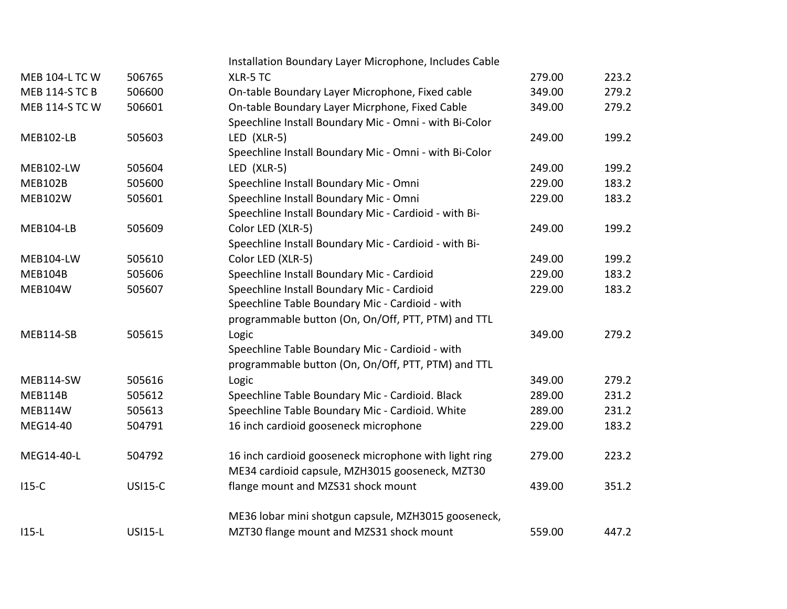|                       |                | Installation Boundary Layer Microphone, Includes Cable |        |       |
|-----------------------|----------------|--------------------------------------------------------|--------|-------|
| <b>MEB 104-L TC W</b> | 506765         | XLR-5 TC                                               | 279.00 | 223.2 |
| <b>MEB 114-S TC B</b> | 506600         | On-table Boundary Layer Microphone, Fixed cable        | 349.00 | 279.2 |
| <b>MEB 114-S TC W</b> | 506601         | On-table Boundary Layer Micrphone, Fixed Cable         | 349.00 | 279.2 |
|                       |                | Speechline Install Boundary Mic - Omni - with Bi-Color |        |       |
| MEB102-LB             | 505603         | LED (XLR-5)                                            | 249.00 | 199.2 |
|                       |                | Speechline Install Boundary Mic - Omni - with Bi-Color |        |       |
| <b>MEB102-LW</b>      | 505604         | LED (XLR-5)                                            | 249.00 | 199.2 |
| <b>MEB102B</b>        | 505600         | Speechline Install Boundary Mic - Omni                 | 229.00 | 183.2 |
| <b>MEB102W</b>        | 505601         | Speechline Install Boundary Mic - Omni                 | 229.00 | 183.2 |
|                       |                | Speechline Install Boundary Mic - Cardioid - with Bi-  |        |       |
| MEB104-LB             | 505609         | Color LED (XLR-5)                                      | 249.00 | 199.2 |
|                       |                | Speechline Install Boundary Mic - Cardioid - with Bi-  |        |       |
| MEB104-LW             | 505610         | Color LED (XLR-5)                                      | 249.00 | 199.2 |
| MEB104B               | 505606         | Speechline Install Boundary Mic - Cardioid             | 229.00 | 183.2 |
| MEB104W               | 505607         | Speechline Install Boundary Mic - Cardioid             | 229.00 | 183.2 |
|                       |                | Speechline Table Boundary Mic - Cardioid - with        |        |       |
|                       |                | programmable button (On, On/Off, PTT, PTM) and TTL     |        |       |
| MEB114-SB             | 505615         | Logic                                                  | 349.00 | 279.2 |
|                       |                | Speechline Table Boundary Mic - Cardioid - with        |        |       |
|                       |                | programmable button (On, On/Off, PTT, PTM) and TTL     |        |       |
| MEB114-SW             | 505616         | Logic                                                  | 349.00 | 279.2 |
| MEB114B               | 505612         | Speechline Table Boundary Mic - Cardioid. Black        | 289.00 | 231.2 |
| MEB114W               | 505613         | Speechline Table Boundary Mic - Cardioid. White        | 289.00 | 231.2 |
| MEG14-40              | 504791         | 16 inch cardioid gooseneck microphone                  | 229.00 | 183.2 |
| MEG14-40-L            | 504792         | 16 inch cardioid gooseneck microphone with light ring  | 279.00 | 223.2 |
|                       |                | ME34 cardioid capsule, MZH3015 gooseneck, MZT30        |        |       |
| $115-C$               | <b>USI15-C</b> | flange mount and MZS31 shock mount                     | 439.00 | 351.2 |
|                       |                | ME36 lobar mini shotgun capsule, MZH3015 gooseneck,    |        |       |
| $115-L$               | <b>USI15-L</b> | MZT30 flange mount and MZS31 shock mount               | 559.00 | 447.2 |